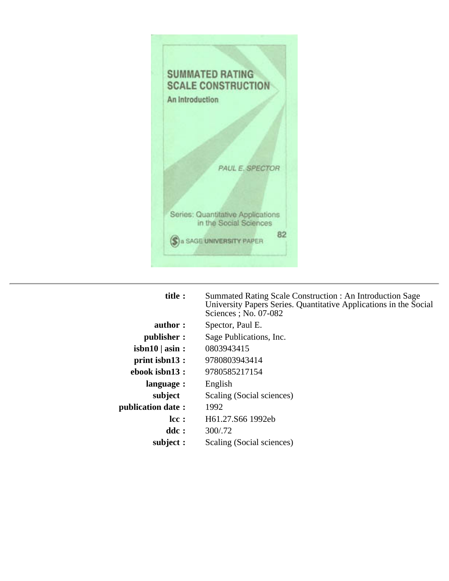

| title :                            | <b>Summated Rating Scale Construction: An Introduction Sage</b><br>University Papers Series. Quantitative Applications in the Social<br>Sciences ; No. 07-082 |
|------------------------------------|---------------------------------------------------------------------------------------------------------------------------------------------------------------|
| author:                            | Spector, Paul E.                                                                                                                                              |
| publisher:                         | Sage Publications, Inc.                                                                                                                                       |
| $\text{isbn10} \mid \text{asin}$ : | 0803943415                                                                                                                                                    |
| $print$ isbn $13:$                 | 9780803943414                                                                                                                                                 |
| ebook isbn13:                      | 9780585217154                                                                                                                                                 |
| language :                         | English                                                                                                                                                       |
| subject                            | Scaling (Social sciences)                                                                                                                                     |
| publication date:                  | 1992                                                                                                                                                          |
| $_{\text{lcc}}$ :                  | H61.27.S66 1992eb                                                                                                                                             |
| $\text{ddc}$ :                     | 300/.72                                                                                                                                                       |
| subject :                          | Scaling (Social sciences)                                                                                                                                     |
|                                    |                                                                                                                                                               |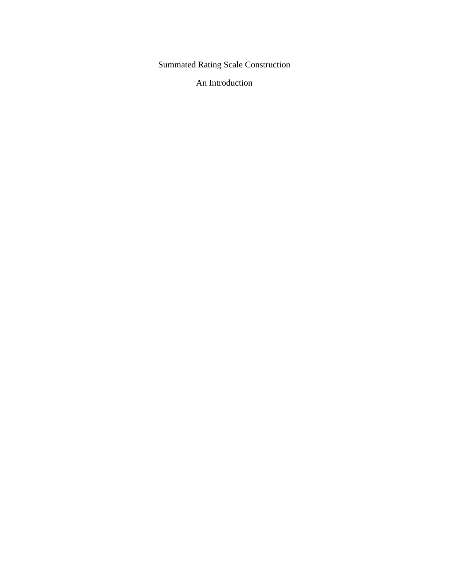Summated Rating Scale Construction

An Introduction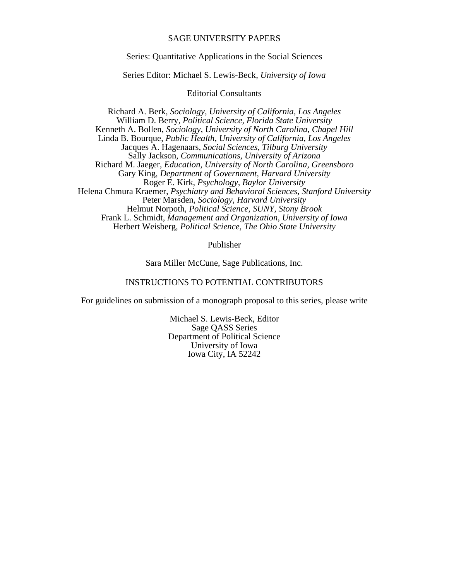### SAGE UNIVERSITY PAPERS

### Series: Quantitative Applications in the Social Sciences

#### Series Editor: Michael S. Lewis-Beck, *University of Iowa*

#### Editorial Consultants

Richard A. Berk, *Sociology, University of California, Los Angeles*  William D. Berry, *Political Science, Florida State University*  Kenneth A. Bollen, *Sociology, University of North Carolina, Chapel Hill*  Linda B. Bourque, *Public Health, University of California, Los Angeles*  Jacques A. Hagenaars, *Social Sciences, Tilburg University*  Sally Jackson, *Communications, University of Arizona*  Richard M. Jaeger, *Education, University of North Carolina, Greensboro*  Gary King, *Department of Government, Harvard University*  Roger E. Kirk, *Psychology, Baylor University*  Helena Chmura Kraemer, *Psychiatry and Behavioral Sciences, Stanford University*  Peter Marsden, *Sociology, Harvard University*  Helmut Norpoth, *Political Science, SUNY, Stony Brook*  Frank L. Schmidt, *Management and Organization, University of Iowa*  Herbert Weisberg, *Political Science, The Ohio State University*

Publisher

Sara Miller McCune, Sage Publications, Inc.

### INSTRUCTIONS TO POTENTIAL CONTRIBUTORS

For guidelines on submission of a monograph proposal to this series, please write

Michael S. Lewis-Beck, Editor Sage QASS Series Department of Political Science University of Iowa Iowa City, IA 52242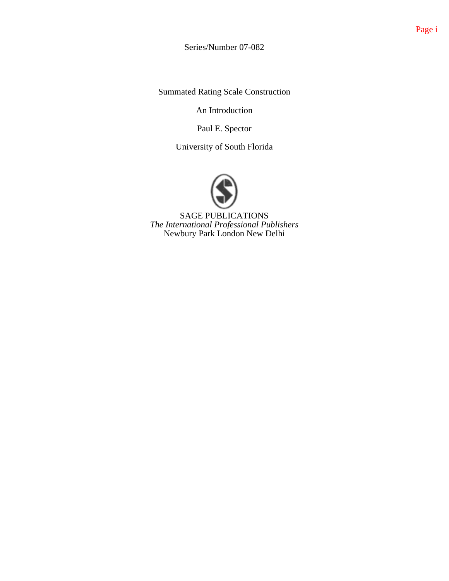Series/Number 07-082

Summated Rating Scale Construction

An Introduction

Paul E. Spector

University of South Florida



SAGE PUBLICATIONS *The International Professional Publishers*  Newbury Park London New Delhi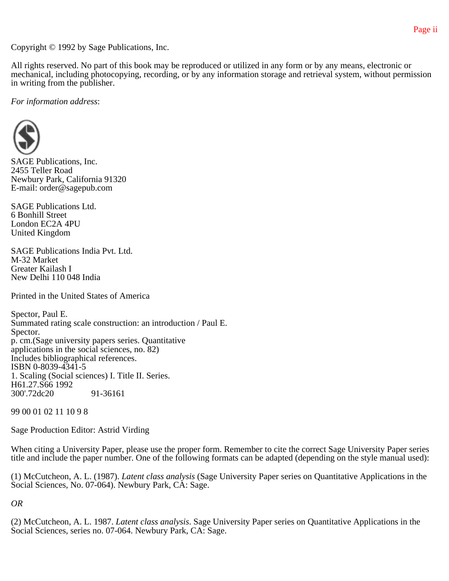Copyright © 1992 by Sage Publications, Inc.

All rights reserved. No part of this book may be reproduced or utilized in any form or by any means, electronic or mechanical, including photocopying, recording, or by any information storage and retrieval system, without permission in writing from the publisher.

*For information address*:



SAGE Publications, Inc. 2455 Teller Road Newbury Park, California 91320 E-mail: order@sagepub.com

SAGE Publications Ltd. 6 Bonhill Street London EC2A 4PU United Kingdom

SAGE Publications India Pvt. Ltd. M-32 Market Greater Kailash I New Delhi 110 048 India

Printed in the United States of America

Spector, Paul E. Summated rating scale construction: an introduction / Paul E. Spector. p. cm.(Sage university papers series. Quantitative applications in the social sciences, no. 82) Includes bibliographical references. ISBN 0-8039-4341-5 1. Scaling (Social sciences) I. Title II. Series. H61.27.S66 1992 300'.72dc20 91-36161

99 00 01 02 11 10 9 8

Sage Production Editor: Astrid Virding

When citing a University Paper, please use the proper form. Remember to cite the correct Sage University Paper series title and include the paper number. One of the following formats can be adapted (depending on the style manual used):

(1) McCutcheon, A. L. (1987). *Latent class analysis* (Sage University Paper series on Quantitative Applications in the Social Sciences, No. 07-064). Newbury Park, CA: Sage.

*OR*

(2) McCutcheon, A. L. 1987. *Latent class analysis*. Sage University Paper series on Quantitative Applications in the Social Sciences, series no. 07-064. Newbury Park, CA: Sage.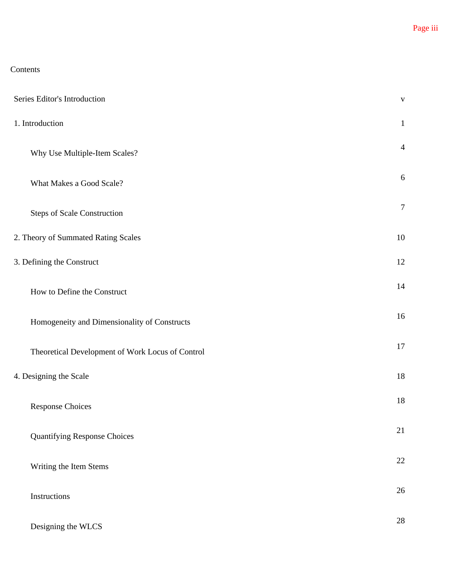Page iii

# Contents

| Series Editor's Introduction                     | $\mathbf{V}$   |
|--------------------------------------------------|----------------|
| 1. Introduction                                  | $\mathbf{1}$   |
| Why Use Multiple-Item Scales?                    | $\overline{4}$ |
| What Makes a Good Scale?                         | 6              |
| <b>Steps of Scale Construction</b>               | $\tau$         |
| 2. Theory of Summated Rating Scales              | 10             |
| 3. Defining the Construct                        | 12             |
| How to Define the Construct                      | 14             |
| Homogeneity and Dimensionality of Constructs     | 16             |
| Theoretical Development of Work Locus of Control | 17             |
| 4. Designing the Scale                           | 18             |
| Response Choices                                 | 18             |
| <b>Quantifying Response Choices</b>              | 21             |
| Writing the Item Stems                           | 22             |
| Instructions                                     | 26             |
| Designing the WLCS                               | 28             |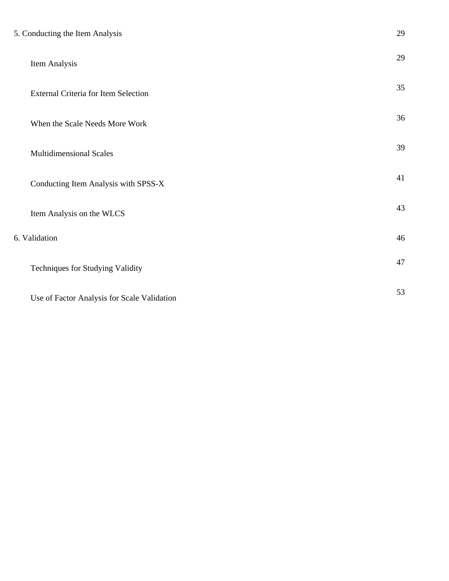| 5. Conducting the Item Analysis             |    |
|---------------------------------------------|----|
| Item Analysis                               | 29 |
| <b>External Criteria for Item Selection</b> | 35 |
| When the Scale Needs More Work              | 36 |
| <b>Multidimensional Scales</b>              | 39 |
| Conducting Item Analysis with SPSS-X        | 41 |
| Item Analysis on the WLCS                   | 43 |
| 6. Validation                               | 46 |
| Techniques for Studying Validity            | 47 |
| Use of Factor Analysis for Scale Validation | 53 |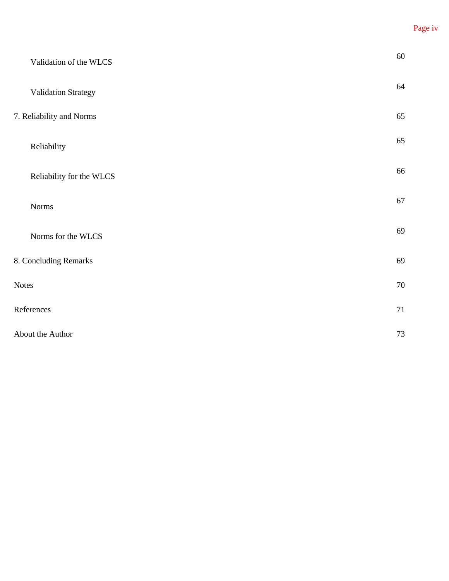| Validation of the WLCS     | 60     |
|----------------------------|--------|
| <b>Validation Strategy</b> | 64     |
| 7. Reliability and Norms   | 65     |
| Reliability                | 65     |
| Reliability for the WLCS   | 66     |
| <b>Norms</b>               | 67     |
| Norms for the WLCS         | 69     |
| 8. Concluding Remarks      | 69     |
| Notes                      | $70\,$ |
| References                 | 71     |
| About the Author           | 73     |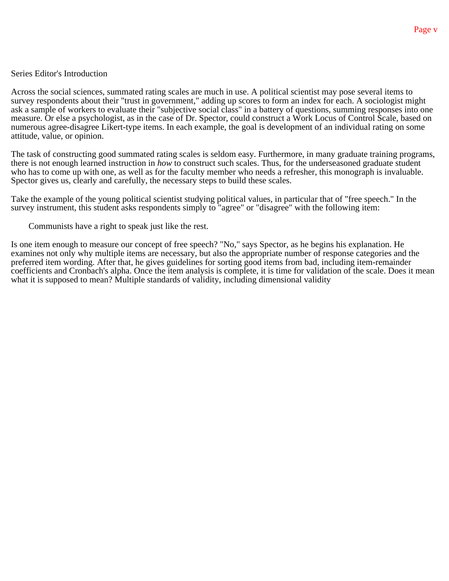## Series Editor's Introduction

Across the social sciences, summated rating scales are much in use. A political scientist may pose several items to survey respondents about their "trust in government," adding up scores to form an index for each. A sociologist might ask a sample of workers to evaluate their "subjective social class" in a battery of questions, summing responses into one measure. Or else a psychologist, as in the case of Dr. Spector, could construct a Work Locus of Control Scale, based on numerous agree-disagree Likert-type items. In each example, the goal is development of an individual rating on some attitude, value, or opinion.

The task of constructing good summated rating scales is seldom easy. Furthermore, in many graduate training programs, there is not enough learned instruction in *how* to construct such scales. Thus, for the underseasoned graduate student who has to come up with one, as well as for the faculty member who needs a refresher, this monograph is invaluable. Spector gives us, clearly and carefully, the necessary steps to build these scales.

Take the example of the young political scientist studying political values, in particular that of "free speech." In the survey instrument, this student asks respondents simply to "agree" or "disagree" with the following item:

Communists have a right to speak just like the rest.

Is one item enough to measure our concept of free speech? "No," says Spector, as he begins his explanation. He examines not only why multiple items are necessary, but also the appropriate number of response categories and the preferred item wording. After that, he gives guidelines for sorting good items from bad, including item-remainder coefficients and Cronbach's alpha. Once the item analysis is complete, it is time for validation of the scale. Does it mean what it is supposed to mean? Multiple standards of validity, including dimensional validity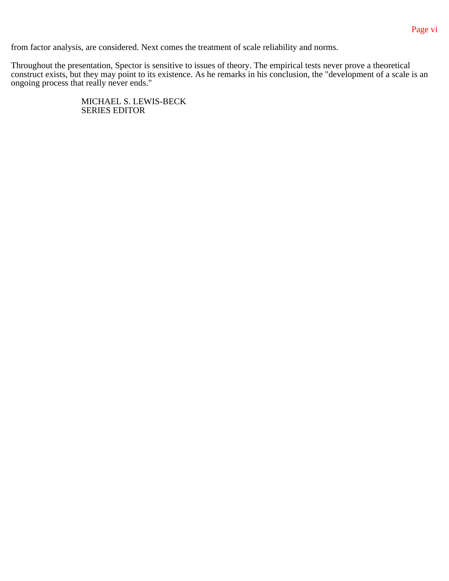from factor analysis, are considered. Next comes the treatment of scale reliability and norms.

Throughout the presentation, Spector is sensitive to issues of theory. The empirical tests never prove a theoretical construct exists, but they may point to its existence. As he remarks in his conclusion, the "development of a scale is an ongoing process that really never ends."

> MICHAEL S. LEWIS-BECK SERIES EDITOR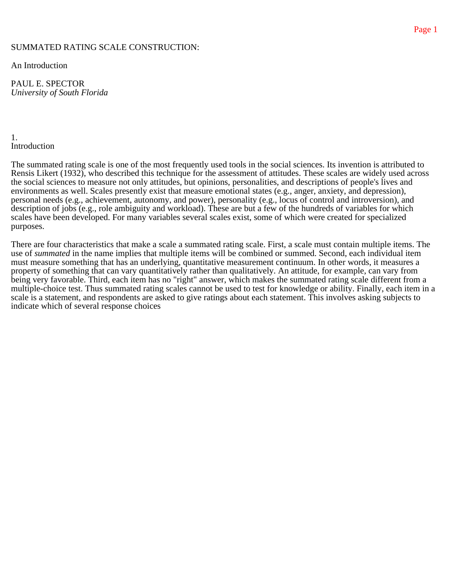## SUMMATED RATING SCALE CONSTRUCTION:

An Introduction

PAUL E. SPECTOR *University of South Florida*

### 1. Introduction

The summated rating scale is one of the most frequently used tools in the social sciences. Its invention is attributed to Rensis Likert (1932), who described this technique for the assessment of attitudes. These scales are widely used across the social sciences to measure not only attitudes, but opinions, personalities, and descriptions of people's lives and environments as well. Scales presently exist that measure emotional states (e.g., anger, anxiety, and depression), personal needs (e.g., achievement, autonomy, and power), personality (e.g., locus of control and introversion), and description of jobs (e.g., role ambiguity and workload). These are but a few of the hundreds of variables for which scales have been developed. For many variables several scales exist, some of which were created for specialized purposes.

There are four characteristics that make a scale a summated rating scale. First, a scale must contain multiple items. The use of *summated* in the name implies that multiple items will be combined or summed. Second, each individual item must measure something that has an underlying, quantitative measurement continuum. In other words, it measures a property of something that can vary quantitatively rather than qualitatively. An attitude, for example, can vary from being very favorable. Third, each item has no "right" answer, which makes the summated rating scale different from a multiple-choice test. Thus summated rating scales cannot be used to test for knowledge or ability. Finally, each item in a scale is a statement, and respondents are asked to give ratings about each statement. This involves asking subjects to indicate which of several response choices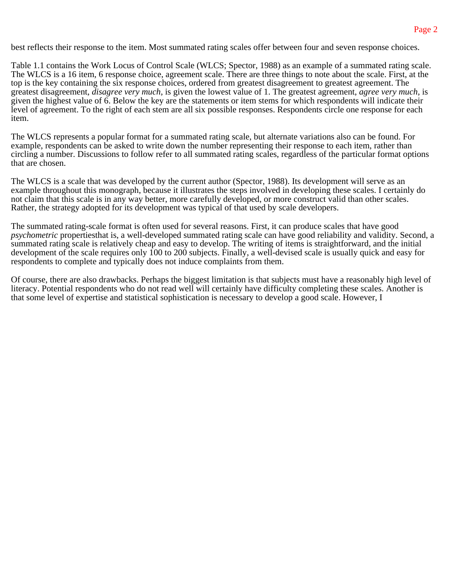best reflects their response to the item. Most summated rating scales offer between four and seven response choices.

Table 1.1 contains the Work Locus of Control Scale (WLCS; Spector, 1988) as an example of a summated rating scale. The WLCS is a 16 item, 6 response choice, agreement scale. There are three things to note about the scale. First, at the top is the key containing the six response choices, ordered from greatest disagreement to greatest agreement. The greatest disagreement, *disagree very much*, is given the lowest value of 1. The greatest agreement, *agree very much*, is given the highest value of 6. Below the key are the statements or item stems for which respondents will indicate their level of agreement. To the right of each stem are all six possible responses. Respondents circle one response for each item.

The WLCS represents a popular format for a summated rating scale, but alternate variations also can be found. For example, respondents can be asked to write down the number representing their response to each item, rather than circling a number. Discussions to follow refer to all summated rating scales, regardless of the particular format options that are chosen.

The WLCS is a scale that was developed by the current author (Spector, 1988). Its development will serve as an example throughout this monograph, because it illustrates the steps involved in developing these scales. I certainly do not claim that this scale is in any way better, more carefully developed, or more construct valid than other scales. Rather, the strategy adopted for its development was typical of that used by scale developers.

The summated rating-scale format is often used for several reasons. First, it can produce scales that have good *psychometric* propertiesthat is, a well-developed summated rating scale can have good reliability and validity. Second, a summated rating scale is relatively cheap and easy to develop. The writing of items is straightforward, and the initial development of the scale requires only 100 to 200 subjects. Finally, a well-devised scale is usually quick and easy for respondents to complete and typically does not induce complaints from them.

Of course, there are also drawbacks. Perhaps the biggest limitation is that subjects must have a reasonably high level of literacy. Potential respondents who do not read well will certainly have difficulty completing these scales. Another is that some level of expertise and statistical sophistication is necessary to develop a good scale. However, I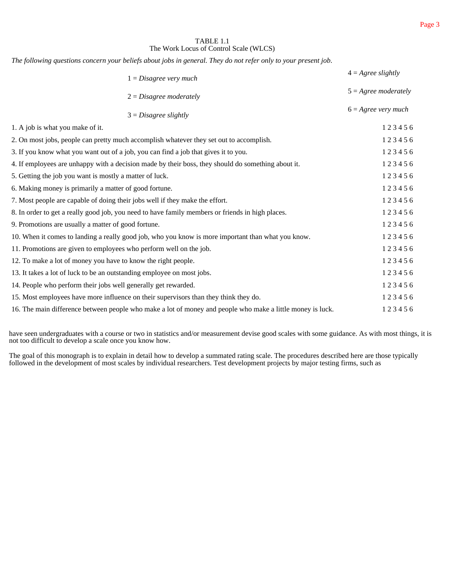### TABLE 1.1 The Work Locus of Control Scale (WLCS)

*The following questions concern your beliefs about jobs in general. They do not refer only to your present job*.

| $1 = Disagree$ very much                                                                                   | $4 = \text{Agree slightly}$   |  |
|------------------------------------------------------------------------------------------------------------|-------------------------------|--|
| $2 = Disagree$ moderately                                                                                  | $5 = \text{Agree}$ moderately |  |
| $3 = Disagree$ slightly                                                                                    | $6 = \text{Agree}$ very much  |  |
| 1. A job is what you make of it.                                                                           | 123456                        |  |
| 2. On most jobs, people can pretty much accomplish whatever they set out to accomplish.                    | 123456                        |  |
| 3. If you know what you want out of a job, you can find a job that gives it to you.                        | 123456                        |  |
| 4. If employees are unhappy with a decision made by their boss, they should do something about it.         | 123456                        |  |
| 5. Getting the job you want is mostly a matter of luck.                                                    | 123456                        |  |
| 6. Making money is primarily a matter of good fortune.                                                     | 123456                        |  |
| 7. Most people are capable of doing their jobs well if they make the effort.                               | 123456                        |  |
| 8. In order to get a really good job, you need to have family members or friends in high places.           | 123456                        |  |
| 9. Promotions are usually a matter of good fortune.                                                        | 123456                        |  |
| 10. When it comes to landing a really good job, who you know is more important than what you know.         | 123456                        |  |
| 11. Promotions are given to employees who perform well on the job.                                         | 123456                        |  |
| 12. To make a lot of money you have to know the right people.                                              | 123456                        |  |
| 13. It takes a lot of luck to be an outstanding employee on most jobs.                                     | 123456                        |  |
| 14. People who perform their jobs well generally get rewarded.                                             | 123456                        |  |
| 15. Most employees have more influence on their supervisors than they think they do.                       | 123456                        |  |
| 16. The main difference between people who make a lot of money and people who make a little money is luck. | 123456                        |  |

have seen undergraduates with a course or two in statistics and/or measurement devise good scales with some guidance. As with most things, it is not too difficult to develop a scale once you know how.

The goal of this monograph is to explain in detail how to develop a summated rating scale. The procedures described here are those typically followed in the development of most scales by individual researchers. Test development projects by major testing firms, such as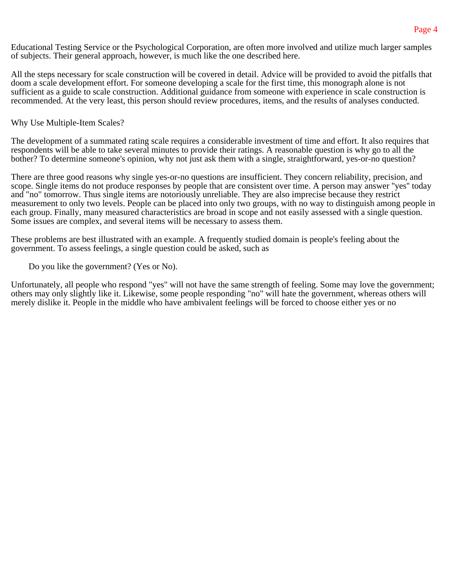Educational Testing Service or the Psychological Corporation, are often more involved and utilize much larger samples of subjects. Their general approach, however, is much like the one described here.

All the steps necessary for scale construction will be covered in detail. Advice will be provided to avoid the pitfalls that doom a scale development effort. For someone developing a scale for the first time, this monograph alone is not sufficient as a guide to scale construction. Additional guidance from someone with experience in scale construction is recommended. At the very least, this person should review procedures, items, and the results of analyses conducted.

## Why Use Multiple-Item Scales?

The development of a summated rating scale requires a considerable investment of time and effort. It also requires that respondents will be able to take several minutes to provide their ratings. A reasonable question is why go to all the bother? To determine someone's opinion, why not just ask them with a single, straightforward, yes-or-no question?

There are three good reasons why single yes-or-no questions are insufficient. They concern reliability, precision, and scope. Single items do not produce responses by people that are consistent over time. A person may answer ''yes'' today and "no" tomorrow. Thus single items are notoriously unreliable. They are also imprecise because they restrict measurement to only two levels. People can be placed into only two groups, with no way to distinguish among people in each group. Finally, many measured characteristics are broad in scope and not easily assessed with a single question. Some issues are complex, and several items will be necessary to assess them.

These problems are best illustrated with an example. A frequently studied domain is people's feeling about the government. To assess feelings, a single question could be asked, such as

Do you like the government? (Yes or No).

Unfortunately, all people who respond "yes" will not have the same strength of feeling. Some may love the government; others may only slightly like it. Likewise, some people responding "no" will hate the government, whereas others will merely dislike it. People in the middle who have ambivalent feelings will be forced to choose either yes or no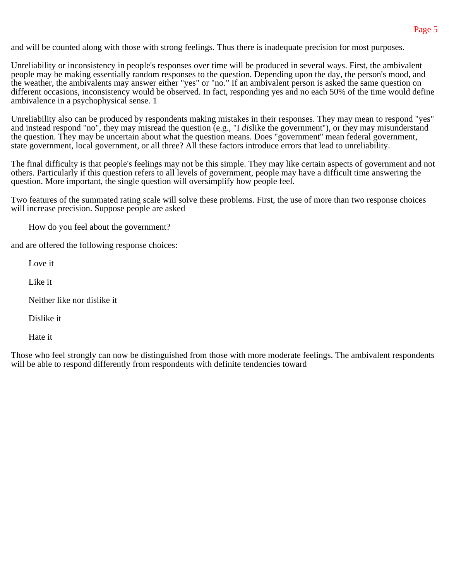and will be counted along with those with strong feelings. Thus there is inadequate precision for most purposes.

Unreliability or inconsistency in people's responses over time will be produced in several ways. First, the ambivalent people may be making essentially random responses to the question. Depending upon the day, the person's mood, and the weather, the ambivalents may answer either "yes" or "no." If an ambivalent person is asked the same question on different occasions, inconsistency would be observed. In fact, responding yes and no each 50% of the time would define ambivalence in a psychophysical sense. 1

Unreliability also can be produced by respondents making mistakes in their responses. They may mean to respond "yes" and instead respond "no", they may misread the question (e.g., "I *dis*like the government''), or they may misunderstand the question. They may be uncertain about what the question means. Does "government'' mean federal government, state government, local government, or all three? All these factors introduce errors that lead to unreliability.

The final difficulty is that people's feelings may not be this simple. They may like certain aspects of government and not others. Particularly if this question refers to all levels of government, people may have a difficult time answering the question. More important, the single question will oversimplify how people feel.

Two features of the summated rating scale will solve these problems. First, the use of more than two response choices will increase precision. Suppose people are asked

How do you feel about the government?

and are offered the following response choices:

Love it

Like it

Neither like nor dislike it

Dislike it

Hate it

Those who feel strongly can now be distinguished from those with more moderate feelings. The ambivalent respondents will be able to respond differently from respondents with definite tendencies toward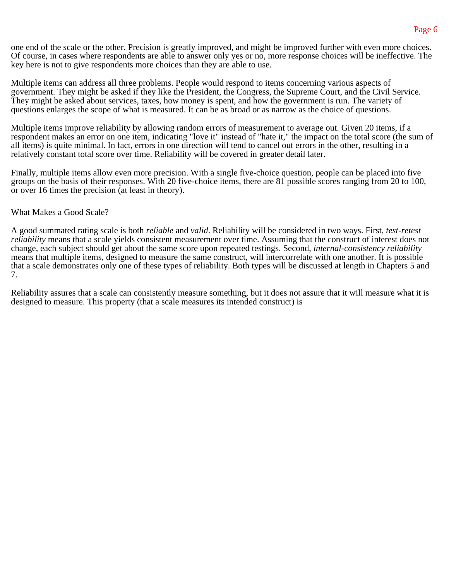one end of the scale or the other. Precision is greatly improved, and might be improved further with even more choices. Of course, in cases where respondents are able to answer only yes or no, more response choices will be ineffective. The key here is not to give respondents more choices than they are able to use.

Multiple items can address all three problems. People would respond to items concerning various aspects of government. They might be asked if they like the President, the Congress, the Supreme Court, and the Civil Service. They might be asked about services, taxes, how money is spent, and how the government is run. The variety of questions enlarges the scope of what is measured. It can be as broad or as narrow as the choice of questions.

Multiple items improve reliability by allowing random errors of measurement to average out. Given 20 items, if a respondent makes an error on one item, indicating "love it" instead of "hate it," the impact on the total score (the sum of all items) is quite minimal. In fact, errors in one direction will tend to cancel out errors in the other, resulting in a relatively constant total score over time. Reliability will be covered in greater detail later.

Finally, multiple items allow even more precision. With a single five-choice question, people can be placed into five groups on the basis of their responses. With 20 five-choice items, there are 81 possible scores ranging from 20 to 100, or over 16 times the precision (at least in theory).

## What Makes a Good Scale?

A good summated rating scale is both *reliable* and *valid*. Reliability will be considered in two ways. First, *test-retest reliability* means that a scale yields consistent measurement over time. Assuming that the construct of interest does not change, each subject should get about the same score upon repeated testings. Second, *internal-consistency reliability* means that multiple items, designed to measure the same construct, will intercorrelate with one another. It is possible that a scale demonstrates only one of these types of reliability. Both types will be discussed at length in Chapters 5 and 7.

Reliability assures that a scale can consistently measure something, but it does not assure that it will measure what it is designed to measure. This property (that a scale measures its intended construct) is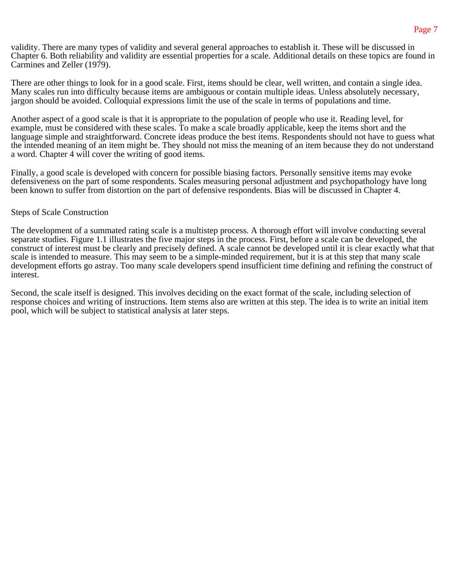validity. There are many types of validity and several general approaches to establish it. These will be discussed in Chapter 6. Both reliability and validity are essential properties for a scale. Additional details on these topics are found in Carmines and Zeller (1979).

There are other things to look for in a good scale. First, items should be clear, well written, and contain a single idea. Many scales run into difficulty because items are ambiguous or contain multiple ideas. Unless absolutely necessary, jargon should be avoided. Colloquial expressions limit the use of the scale in terms of populations and time.

Another aspect of a good scale is that it is appropriate to the population of people who use it. Reading level, for example, must be considered with these scales. To make a scale broadly applicable, keep the items short and the language simple and straightforward. Concrete ideas produce the best items. Respondents should not have to guess what the intended meaning of an item might be. They should not miss the meaning of an item because they do not understand a word. Chapter 4 will cover the writing of good items.

Finally, a good scale is developed with concern for possible biasing factors. Personally sensitive items may evoke defensiveness on the part of some respondents. Scales measuring personal adjustment and psychopathology have long been known to suffer from distortion on the part of defensive respondents. Bias will be discussed in Chapter 4.

## Steps of Scale Construction

The development of a summated rating scale is a multistep process. A thorough effort will involve conducting several separate studies. Figure 1.1 illustrates the five major steps in the process. First, before a scale can be developed, the construct of interest must be clearly and precisely defined. A scale cannot be developed until it is clear exactly what that scale is intended to measure. This may seem to be a simple-minded requirement, but it is at this step that many scale development efforts go astray. Too many scale developers spend insufficient time defining and refining the construct of interest.

Second, the scale itself is designed. This involves deciding on the exact format of the scale, including selection of response choices and writing of instructions. Item stems also are written at this step. The idea is to write an initial item pool, which will be subject to statistical analysis at later steps.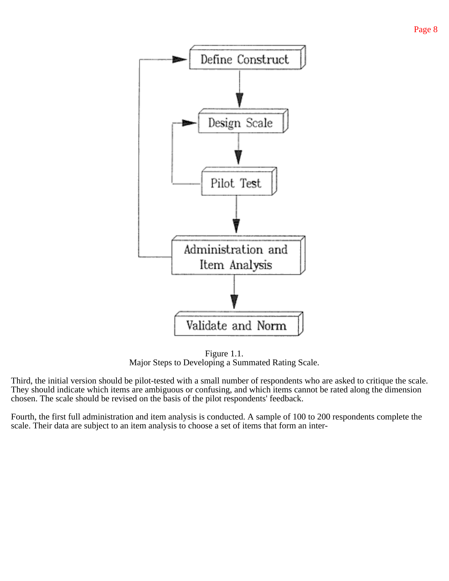

Figure 1.1. Major Steps to Developing a Summated Rating Scale.

Third, the initial version should be pilot-tested with a small number of respondents who are asked to critique the scale. They should indicate which items are ambiguous or confusing, and which items cannot be rated along the dimension chosen. The scale should be revised on the basis of the pilot respondents' feedback.

Fourth, the first full administration and item analysis is conducted. A sample of 100 to 200 respondents complete the scale. Their data are subject to an item analysis to choose a set of items that form an inter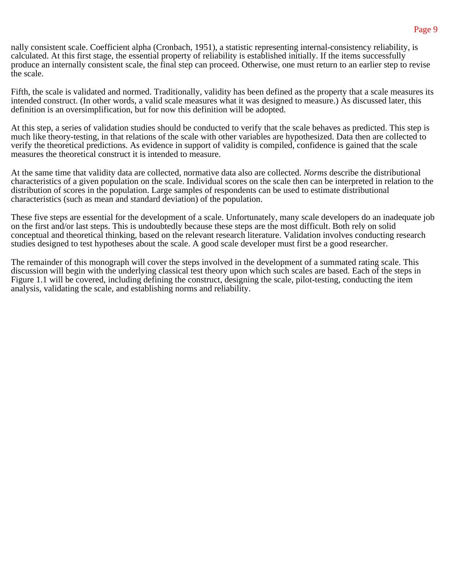nally consistent scale. Coefficient alpha (Cronbach, 1951), a statistic representing internal-consistency reliability, is calculated. At this first stage, the essential property of reliability is established initially. If the items successfully produce an internally consistent scale, the final step can proceed. Otherwise, one must return to an earlier step to revise the scale.

Fifth, the scale is validated and normed. Traditionally, validity has been defined as the property that a scale measures its intended construct. (In other words, a valid scale measures what it was designed to measure.) As discussed later, this definition is an oversimplification, but for now this definition will be adopted.

At this step, a series of validation studies should be conducted to verify that the scale behaves as predicted. This step is much like theory-testing, in that relations of the scale with other variables are hypothesized. Data then are collected to verify the theoretical predictions. As evidence in support of validity is compiled, confidence is gained that the scale measures the theoretical construct it is intended to measure.

At the same time that validity data are collected, normative data also are collected. *Norms* describe the distributional characteristics of a given population on the scale. Individual scores on the scale then can be interpreted in relation to the distribution of scores in the population. Large samples of respondents can be used to estimate distributional characteristics (such as mean and standard deviation) of the population.

These five steps are essential for the development of a scale. Unfortunately, many scale developers do an inadequate job on the first and/or last steps. This is undoubtedly because these steps are the most difficult. Both rely on solid conceptual and theoretical thinking, based on the relevant research literature. Validation involves conducting research studies designed to test hypotheses about the scale. A good scale developer must first be a good researcher.

The remainder of this monograph will cover the steps involved in the development of a summated rating scale. This discussion will begin with the underlying classical test theory upon which such scales are based. Each of the steps in Figure 1.1 will be covered, including defining the construct, designing the scale, pilot-testing, conducting the item analysis, validating the scale, and establishing norms and reliability.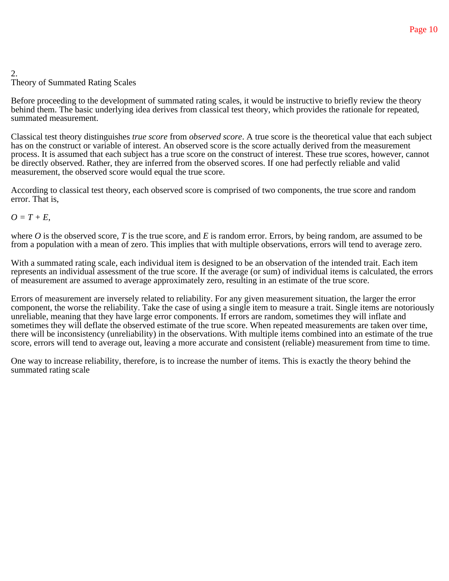## 2. Theory of Summated Rating Scales

Before proceeding to the development of summated rating scales, it would be instructive to briefly review the theory behind them. The basic underlying idea derives from classical test theory, which provides the rationale for repeated, summated measurement.

Classical test theory distinguishes *true score* from *observed score*. A true score is the theoretical value that each subject has on the construct or variable of interest. An observed score is the score actually derived from the measurement process. It is assumed that each subject has a true score on the construct of interest. These true scores, however, cannot be directly observed. Rather, they are inferred from the observed scores. If one had perfectly reliable and valid measurement, the observed score would equal the true score.

According to classical test theory, each observed score is comprised of two components, the true score and random error. That is,

# $Q = T + E$ ,

where *O* is the observed score, *T* is the true score, and *E* is random error. Errors, by being random, are assumed to be from a population with a mean of zero. This implies that with multiple observations, errors will tend to average zero.

With a summated rating scale, each individual item is designed to be an observation of the intended trait. Each item represents an individual assessment of the true score. If the average (or sum) of individual items is calculated, the errors of measurement are assumed to average approximately zero, resulting in an estimate of the true score.

Errors of measurement are inversely related to reliability. For any given measurement situation, the larger the error component, the worse the reliability. Take the case of using a single item to measure a trait. Single items are notoriously unreliable, meaning that they have large error components. If errors are random, sometimes they will inflate and sometimes they will deflate the observed estimate of the true score. When repeated measurements are taken over time, there will be inconsistency (unreliability) in the observations. With multiple items combined into an estimate of the true score, errors will tend to average out, leaving a more accurate and consistent (reliable) measurement from time to time.

One way to increase reliability, therefore, is to increase the number of items. This is exactly the theory behind the summated rating scale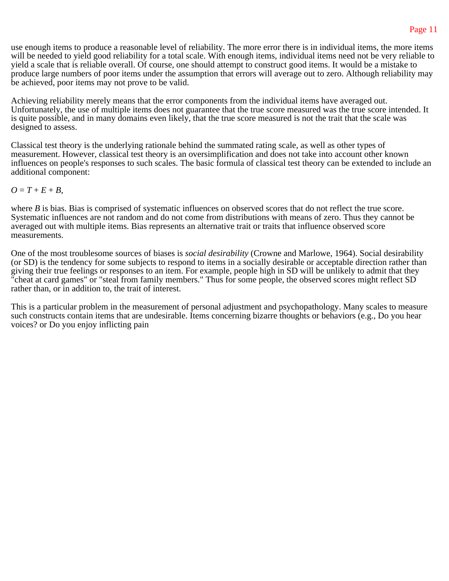use enough items to produce a reasonable level of reliability. The more error there is in individual items, the more items will be needed to yield good reliability for a total scale. With enough items, individual items need not be very reliable to yield a scale that is reliable overall. Of course, one should attempt to construct good items. It would be a mistake to produce large numbers of poor items under the assumption that errors will average out to zero. Although reliability may be achieved, poor items may not prove to be valid.

Achieving reliability merely means that the error components from the individual items have averaged out. Unfortunately, the use of multiple items does not guarantee that the true score measured was the true score intended. It is quite possible, and in many domains even likely, that the true score measured is not the trait that the scale was designed to assess.

Classical test theory is the underlying rationale behind the summated rating scale, as well as other types of measurement. However, classical test theory is an oversimplification and does not take into account other known influences on people's responses to such scales. The basic formula of classical test theory can be extended to include an additional component:

 $Q = T + E + B$ ,

where *B* is bias. Bias is comprised of systematic influences on observed scores that do not reflect the true score. Systematic influences are not random and do not come from distributions with means of zero. Thus they cannot be averaged out with multiple items. Bias represents an alternative trait or traits that influence observed score measurements.

One of the most troublesome sources of biases is *social desirability* (Crowne and Marlowe, 1964). Social desirability (or SD) is the tendency for some subjects to respond to items in a socially desirable or acceptable direction rather than giving their true feelings or responses to an item. For example, people high in SD will be unlikely to admit that they "cheat at card games" or "steal from family members." Thus for some people, the observed scores might reflect SD rather than, or in addition to, the trait of interest.

This is a particular problem in the measurement of personal adjustment and psychopathology. Many scales to measure such constructs contain items that are undesirable. Items concerning bizarre thoughts or behaviors (e.g., Do you hear voices? or Do you enjoy inflicting pain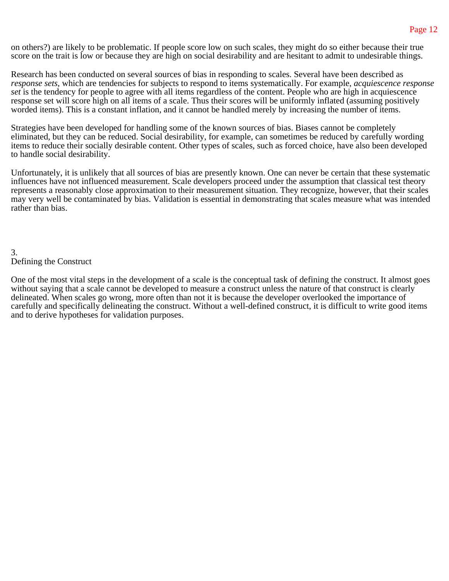on others?) are likely to be problematic. If people score low on such scales, they might do so either because their true score on the trait is low or because they are high on social desirability and are hesitant to admit to undesirable things.

Research has been conducted on several sources of bias in responding to scales. Several have been described as *response sets*, which are tendencies for subjects to respond to items systematically. For example, *acquiescence response set* is the tendency for people to agree with all items regardless of the content. People who are high in acquiescence response set will score high on all items of a scale. Thus their scores will be uniformly inflated (assuming positively worded items). This is a constant inflation, and it cannot be handled merely by increasing the number of items.

Strategies have been developed for handling some of the known sources of bias. Biases cannot be completely eliminated, but they can be reduced. Social desirability, for example, can sometimes be reduced by carefully wording items to reduce their socially desirable content. Other types of scales, such as forced choice, have also been developed to handle social desirability.

Unfortunately, it is unlikely that all sources of bias are presently known. One can never be certain that these systematic influences have not influenced measurement. Scale developers proceed under the assumption that classical test theory represents a reasonably close approximation to their measurement situation. They recognize, however, that their scales may very well be contaminated by bias. Validation is essential in demonstrating that scales measure what was intended rather than bias.

3. Defining the Construct

One of the most vital steps in the development of a scale is the conceptual task of defining the construct. It almost goes without saying that a scale cannot be developed to measure a construct unless the nature of that construct is clearly delineated. When scales go wrong, more often than not it is because the developer overlooked the importance of carefully and specifically delineating the construct. Without a well-defined construct, it is difficult to write good items and to derive hypotheses for validation purposes.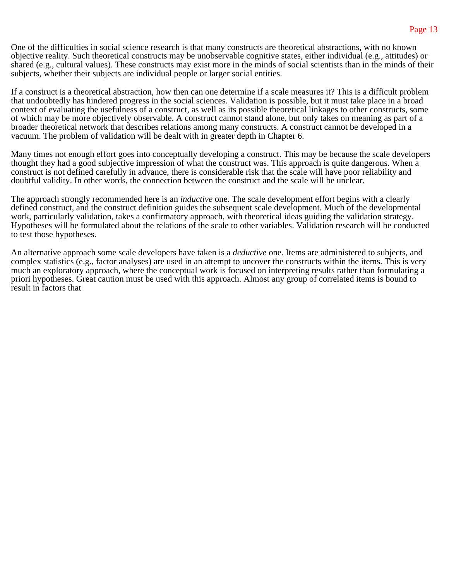One of the difficulties in social science research is that many constructs are theoretical abstractions, with no known objective reality. Such theoretical constructs may be unobservable cognitive states, either individual (e.g., attitudes) or shared (e.g., cultural values). These constructs may exist more in the minds of social scientists than in the minds of their subjects, whether their subjects are individual people or larger social entities.

If a construct is a theoretical abstraction, how then can one determine if a scale measures it? This is a difficult problem that undoubtedly has hindered progress in the social sciences. Validation is possible, but it must take place in a broad context of evaluating the usefulness of a construct, as well as its possible theoretical linkages to other constructs, some of which may be more objectively observable. A construct cannot stand alone, but only takes on meaning as part of a broader theoretical network that describes relations among many constructs. A construct cannot be developed in a vacuum. The problem of validation will be dealt with in greater depth in Chapter 6.

Many times not enough effort goes into conceptually developing a construct. This may be because the scale developers thought they had a good subjective impression of what the construct was. This approach is quite dangerous. When a construct is not defined carefully in advance, there is considerable risk that the scale will have poor reliability and doubtful validity. In other words, the connection between the construct and the scale will be unclear.

The approach strongly recommended here is an *inductive* one. The scale development effort begins with a clearly defined construct, and the construct definition guides the subsequent scale development. Much of the developmental work, particularly validation, takes a confirmatory approach, with theoretical ideas guiding the validation strategy. Hypotheses will be formulated about the relations of the scale to other variables. Validation research will be conducted to test those hypotheses.

An alternative approach some scale developers have taken is a *deductive* one. Items are administered to subjects, and complex statistics (e.g., factor analyses) are used in an attempt to uncover the constructs within the items. This is very much an exploratory approach, where the conceptual work is focused on interpreting results rather than formulating a priori hypotheses. Great caution must be used with this approach. Almost any group of correlated items is bound to result in factors that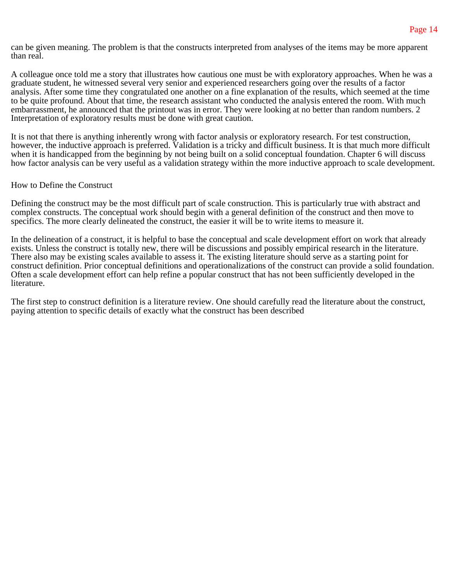can be given meaning. The problem is that the constructs interpreted from analyses of the items may be more apparent than real.

A colleague once told me a story that illustrates how cautious one must be with exploratory approaches. When he was a graduate student, he witnessed several very senior and experienced researchers going over the results of a factor analysis. After some time they congratulated one another on a fine explanation of the results, which seemed at the time to be quite profound. About that time, the research assistant who conducted the analysis entered the room. With much embarrassment, he announced that the printout was in error. They were looking at no better than random numbers. 2 Interpretation of exploratory results must be done with great caution.

It is not that there is anything inherently wrong with factor analysis or exploratory research. For test construction, however, the inductive approach is preferred. Validation is a tricky and difficult business. It is that much more difficult when it is handicapped from the beginning by not being built on a solid conceptual foundation. Chapter 6 will discuss how factor analysis can be very useful as a validation strategy within the more inductive approach to scale development.

## How to Define the Construct

Defining the construct may be the most difficult part of scale construction. This is particularly true with abstract and complex constructs. The conceptual work should begin with a general definition of the construct and then move to specifics. The more clearly delineated the construct, the easier it will be to write items to measure it.

In the delineation of a construct, it is helpful to base the conceptual and scale development effort on work that already exists. Unless the construct is totally new, there will be discussions and possibly empirical research in the literature. There also may be existing scales available to assess it. The existing literature should serve as a starting point for construct definition. Prior conceptual definitions and operationalizations of the construct can provide a solid foundation. Often a scale development effort can help refine a popular construct that has not been sufficiently developed in the literature.

The first step to construct definition is a literature review. One should carefully read the literature about the construct, paying attention to specific details of exactly what the construct has been described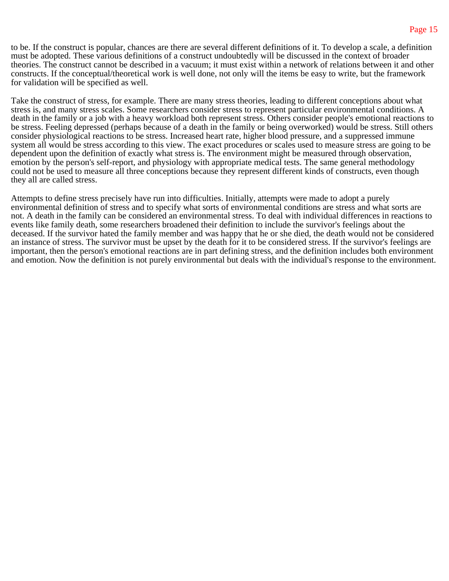to be. If the construct is popular, chances are there are several different definitions of it. To develop a scale, a definition must be adopted. These various definitions of a construct undoubtedly will be discussed in the context of broader theories. The construct cannot be described in a vacuum; it must exist within a network of relations between it and other constructs. If the conceptual/theoretical work is well done, not only will the items be easy to write, but the framework for validation will be specified as well.

Take the construct of stress, for example. There are many stress theories, leading to different conceptions about what stress is, and many stress scales. Some researchers consider stress to represent particular environmental conditions. A death in the family or a job with a heavy workload both represent stress. Others consider people's emotional reactions to be stress. Feeling depressed (perhaps because of a death in the family or being overworked) would be stress. Still others consider physiological reactions to be stress. Increased heart rate, higher blood pressure, and a suppressed immune system all would be stress according to this view. The exact procedures or scales used to measure stress are going to be dependent upon the definition of exactly what stress is. The environment might be measured through observation, emotion by the person's self-report, and physiology with appropriate medical tests. The same general methodology could not be used to measure all three conceptions because they represent different kinds of constructs, even though they all are called stress.

Attempts to define stress precisely have run into difficulties. Initially, attempts were made to adopt a purely environmental definition of stress and to specify what sorts of environmental conditions are stress and what sorts are not. A death in the family can be considered an environmental stress. To deal with individual differences in reactions to events like family death, some researchers broadened their definition to include the survivor's feelings about the deceased. If the survivor hated the family member and was happy that he or she died, the death would not be considered an instance of stress. The survivor must be upset by the death for it to be considered stress. If the survivor's feelings are important, then the person's emotional reactions are in part defining stress, and the definition includes both environment and emotion. Now the definition is not purely environmental but deals with the individual's response to the environment.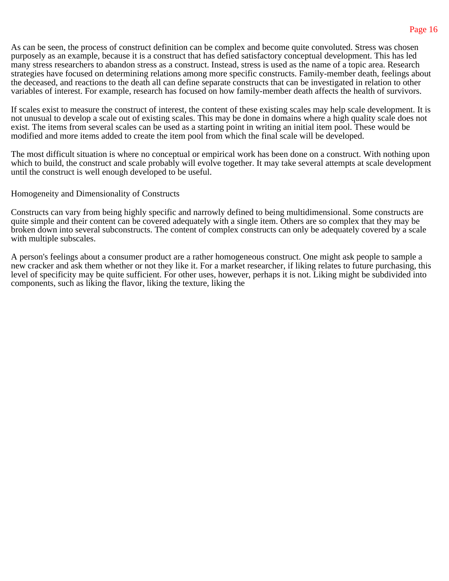As can be seen, the process of construct definition can be complex and become quite convoluted. Stress was chosen purposely as an example, because it is a construct that has defied satisfactory conceptual development. This has led many stress researchers to abandon stress as a construct. Instead, stress is used as the name of a topic area. Research strategies have focused on determining relations among more specific constructs. Family-member death, feelings about the deceased, and reactions to the death all can define separate constructs that can be investigated in relation to other variables of interest. For example, research has focused on how family-member death affects the health of survivors.

If scales exist to measure the construct of interest, the content of these existing scales may help scale development. It is not unusual to develop a scale out of existing scales. This may be done in domains where a high quality scale does not exist. The items from several scales can be used as a starting point in writing an initial item pool. These would be modified and more items added to create the item pool from which the final scale will be developed.

The most difficult situation is where no conceptual or empirical work has been done on a construct. With nothing upon which to build, the construct and scale probably will evolve together. It may take several attempts at scale development until the construct is well enough developed to be useful.

Homogeneity and Dimensionality of Constructs

Constructs can vary from being highly specific and narrowly defined to being multidimensional. Some constructs are quite simple and their content can be covered adequately with a single item. Others are so complex that they may be broken down into several subconstructs. The content of complex constructs can only be adequately covered by a scale with multiple subscales.

A person's feelings about a consumer product are a rather homogeneous construct. One might ask people to sample a new cracker and ask them whether or not they like it. For a market researcher, if liking relates to future purchasing, this level of specificity may be quite sufficient. For other uses, however, perhaps it is not. Liking might be subdivided into components, such as liking the flavor, liking the texture, liking the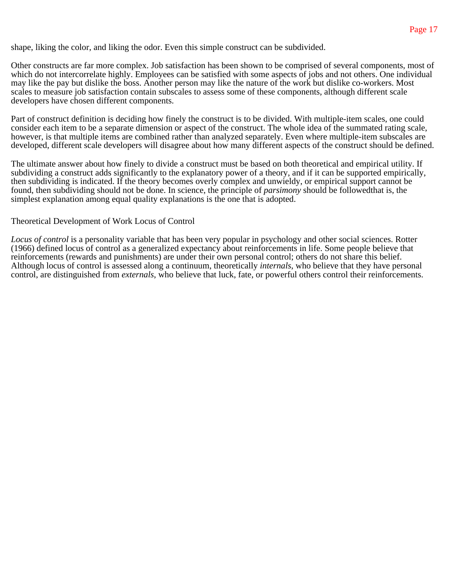shape, liking the color, and liking the odor. Even this simple construct can be subdivided.

Other constructs are far more complex. Job satisfaction has been shown to be comprised of several components, most of which do not intercorrelate highly. Employees can be satisfied with some aspects of jobs and not others. One individual may like the pay but dislike the boss. Another person may like the nature of the work but dislike co-workers. Most scales to measure job satisfaction contain subscales to assess some of these components, although different scale developers have chosen different components.

Part of construct definition is deciding how finely the construct is to be divided. With multiple-item scales, one could consider each item to be a separate dimension or aspect of the construct. The whole idea of the summated rating scale, however, is that multiple items are combined rather than analyzed separately. Even where multiple-item subscales are developed, different scale developers will disagree about how many different aspects of the construct should be defined.

The ultimate answer about how finely to divide a construct must be based on both theoretical and empirical utility. If subdividing a construct adds significantly to the explanatory power of a theory, and if it can be supported empirically, then subdividing is indicated. If the theory becomes overly complex and unwieldy, or empirical support cannot be found, then subdividing should not be done. In science, the principle of *parsimony* should be followedthat is, the simplest explanation among equal quality explanations is the one that is adopted.

## Theoretical Development of Work Locus of Control

*Locus of control* is a personality variable that has been very popular in psychology and other social sciences. Rotter (1966) defined locus of control as a generalized expectancy about reinforcements in life. Some people believe that reinforcements (rewards and punishments) are under their own personal control; others do not share this belief. Although locus of control is assessed along a continuum, theoretically *internals*, who believe that they have personal control, are distinguished from *externals*, who believe that luck, fate, or powerful others control their reinforcements.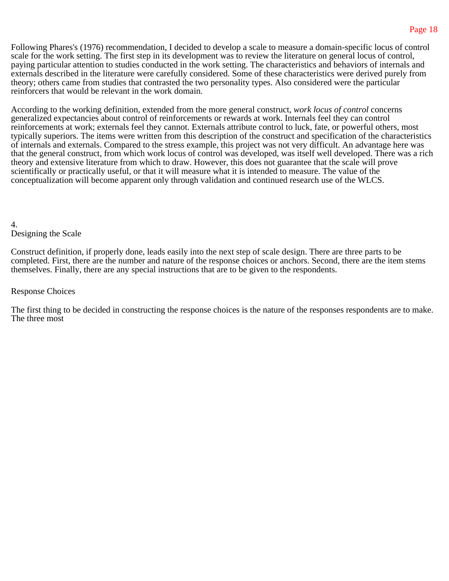Following Phares's (1976) recommendation, I decided to develop a scale to measure a domain-specific locus of control scale for the work setting. The first step in its development was to review the literature on general locus of control, paying particular attention to studies conducted in the work setting. The characteristics and behaviors of internals and externals described in the literature were carefully considered. Some of these characteristics were derived purely from theory; others came from studies that contrasted the two personality types. Also considered were the particular reinforcers that would be relevant in the work domain.

According to the working definition, extended from the more general construct, *work locus of control* concerns generalized expectancies about control of reinforcements or rewards at work. Internals feel they can control reinforcements at work; externals feel they cannot. Externals attribute control to luck, fate, or powerful others, most typically superiors. The items were written from this description of the construct and specification of the characteristics of internals and externals. Compared to the stress example, this project was not very difficult. An advantage here was that the general construct, from which work locus of control was developed, was itself well developed. There was a rich theory and extensive literature from which to draw. However, this does not guarantee that the scale will prove scientifically or practically useful, or that it will measure what it is intended to measure. The value of the conceptualization will become apparent only through validation and continued research use of the WLCS.

4. Designing the Scale

Construct definition, if properly done, leads easily into the next step of scale design. There are three parts to be completed. First, there are the number and nature of the response choices or anchors. Second, there are the item stems themselves. Finally, there are any special instructions that are to be given to the respondents.

## Response Choices

The first thing to be decided in constructing the response choices is the nature of the responses respondents are to make. The three most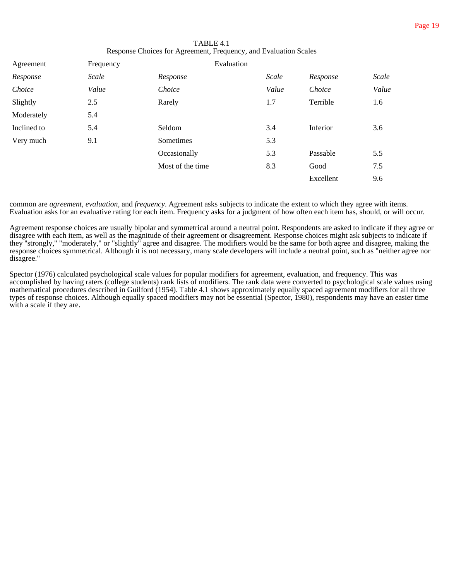## TABLE 4.1 Response Choices for Agreement, Frequency, and Evaluation Scales

| Agreement   | Evaluation<br>Frequency |                  |       |           |       |
|-------------|-------------------------|------------------|-------|-----------|-------|
| Response    | Scale                   | Response         | Scale | Response  | Scale |
| Choice      | Value                   | Choice           | Value | Choice    | Value |
| Slightly    | 2.5                     | Rarely           | 1.7   | Terrible  | 1.6   |
| Moderately  | 5.4                     |                  |       |           |       |
| Inclined to | 5.4                     | Seldom           | 3.4   | Inferior  | 3.6   |
| Very much   | 9.1                     | Sometimes        | 5.3   |           |       |
|             |                         | Occasionally     | 5.3   | Passable  | 5.5   |
|             |                         | Most of the time | 8.3   | Good      | 7.5   |
|             |                         |                  |       | Excellent | 9.6   |

common are *agreement, evaluation*, and *frequency*. Agreement asks subjects to indicate the extent to which they agree with items. Evaluation asks for an evaluative rating for each item. Frequency asks for a judgment of how often each item has, should, or will occur.

Agreement response choices are usually bipolar and symmetrical around a neutral point. Respondents are asked to indicate if they agree or disagree with each item, as well as the magnitude of their agreement or disagreement. Response choices might ask subjects to indicate if they ''strongly,'' "moderately," or "slightly" agree and disagree. The modifiers would be the same for both agree and disagree, making the response choices symmetrical. Although it is not necessary, many scale developers will include a neutral point, such as "neither agree nor disagree."

Spector (1976) calculated psychological scale values for popular modifiers for agreement, evaluation, and frequency. This was accomplished by having raters (college students) rank lists of modifiers. The rank data were converted to psychological scale values using mathematical procedures described in Guilford (1954). Table 4.1 shows approximately equally spaced agreement modifiers for all three types of response choices. Although equally spaced modifiers may not be essential (Spector, 1980), respondents may have an easier time with a scale if they are.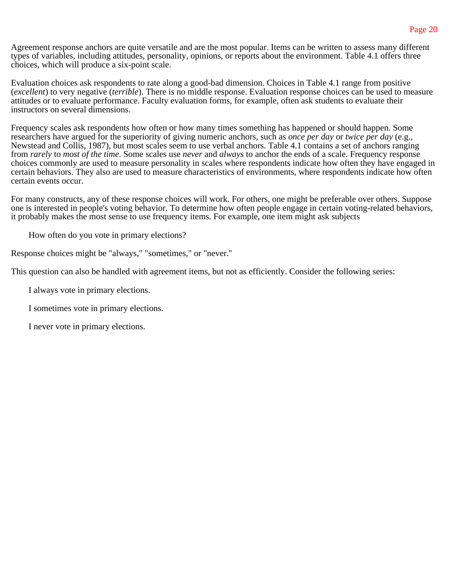Agreement response anchors are quite versatile and are the most popular. Items can be written to assess many different types of variables, including attitudes, personality, opinions, or reports about the environment. Table 4.1 offers three choices, which will produce a six-point scale.

Evaluation choices ask respondents to rate along a good-bad dimension. Choices in Table 4.1 range from positive (*excellent*) to very negative (*terrible*). There is no middle response. Evaluation response choices can be used to measure attitudes or to evaluate performance. Faculty evaluation forms, for example, often ask students to evaluate their instructors on several dimensions.

Frequency scales ask respondents how often or how many times something has happened or should happen. Some researchers have argued for the superiority of giving numeric anchors, such as *once per day* or *twice per day* (e.g., Newstead and Collis, 1987), but most scales seem to use verbal anchors. Table 4.1 contains a set of anchors ranging from *rarely* to *most of the time*. Some scales use *never* and *always* to anchor the ends of a scale. Frequency response choices commonly are used to measure personality in scales where respondents indicate how often they have engaged in certain behaviors. They also are used to measure characteristics of environments, where respondents indicate how often certain events occur.

For many constructs, any of these response choices will work. For others, one might be preferable over others. Suppose one is interested in people's voting behavior. To determine how often people engage in certain voting-related behaviors, it probably makes the most sense to use frequency items. For example, one item might ask subjects

How often do you vote in primary elections?

Response choices might be "always," "sometimes," or "never.''

This question can also be handled with agreement items, but not as efficiently. Consider the following series:

I always vote in primary elections.

I sometimes vote in primary elections.

I never vote in primary elections.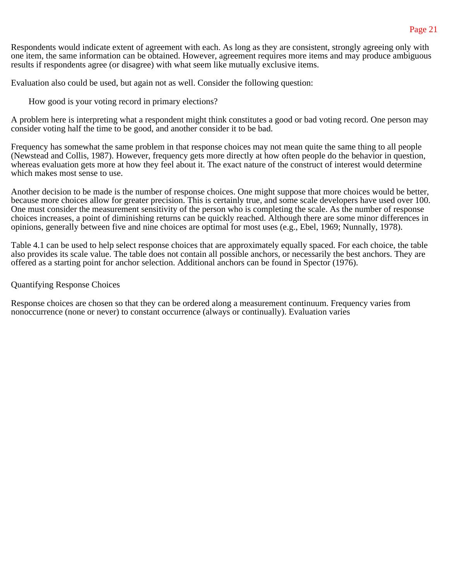Respondents would indicate extent of agreement with each. As long as they are consistent, strongly agreeing only with one item, the same information can be obtained. However, agreement requires more items and may produce ambiguous results if respondents agree (or disagree) with what seem like mutually exclusive items.

Evaluation also could be used, but again not as well. Consider the following question:

How good is your voting record in primary elections?

A problem here is interpreting what a respondent might think constitutes a good or bad voting record. One person may consider voting half the time to be good, and another consider it to be bad.

Frequency has somewhat the same problem in that response choices may not mean quite the same thing to all people (Newstead and Collis, 1987). However, frequency gets more directly at how often people do the behavior in question, whereas evaluation gets more at how they feel about it. The exact nature of the construct of interest would determine which makes most sense to use.

Another decision to be made is the number of response choices. One might suppose that more choices would be better, because more choices allow for greater precision. This is certainly true, and some scale developers have used over 100. One must consider the measurement sensitivity of the person who is completing the scale. As the number of response choices increases, a point of diminishing returns can be quickly reached. Although there are some minor differences in opinions, generally between five and nine choices are optimal for most uses (e.g., Ebel, 1969; Nunnally, 1978).

Table 4.1 can be used to help select response choices that are approximately equally spaced. For each choice, the table also provides its scale value. The table does not contain all possible anchors, or necessarily the best anchors. They are offered as a starting point for anchor selection. Additional anchors can be found in Spector (1976).

## Quantifying Response Choices

Response choices are chosen so that they can be ordered along a measurement continuum. Frequency varies from nonoccurrence (none or never) to constant occurrence (always or continually). Evaluation varies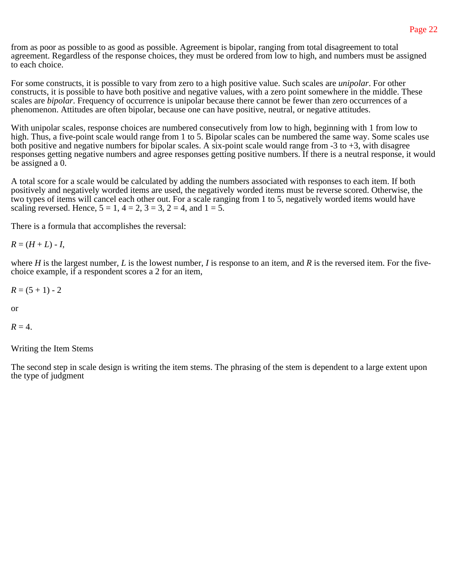from as poor as possible to as good as possible. Agreement is bipolar, ranging from total disagreement to total agreement. Regardless of the response choices, they must be ordered from low to high, and numbers must be assigned to each choice.

For some constructs, it is possible to vary from zero to a high positive value. Such scales are *unipolar*. For other constructs, it is possible to have both positive and negative values, with a zero point somewhere in the middle. These scales are *bipolar*. Frequency of occurrence is unipolar because there cannot be fewer than zero occurrences of a phenomenon. Attitudes are often bipolar, because one can have positive, neutral, or negative attitudes.

With unipolar scales, response choices are numbered consecutively from low to high, beginning with 1 from low to high. Thus, a five-point scale would range from 1 to 5. Bipolar scales can be numbered the same way. Some scales use both positive and negative numbers for bipolar scales. A six-point scale would range from -3 to +3, with disagree responses getting negative numbers and agree responses getting positive numbers. If there is a neutral response, it would be assigned a 0.

A total score for a scale would be calculated by adding the numbers associated with responses to each item. If both positively and negatively worded items are used, the negatively worded items must be reverse scored. Otherwise, the two types of items will cancel each other out. For a scale ranging from 1 to 5, negatively worded items would have scaling reversed. Hence,  $5 = 1$ ,  $4 = 2$ ,  $3 = 3$ ,  $2 = 4$ , and  $1 = 5$ .

There is a formula that accomplishes the reversal:

 $R = (H + L) - I$ ,

where *H* is the largest number, *L* is the lowest number, *I* is response to an item, and *R* is the reversed item. For the fivechoice example, if a respondent scores a 2 for an item,

$$
R=(5+1)-2
$$

or

$$
R=4.
$$

Writing the Item Stems

The second step in scale design is writing the item stems. The phrasing of the stem is dependent to a large extent upon the type of judgment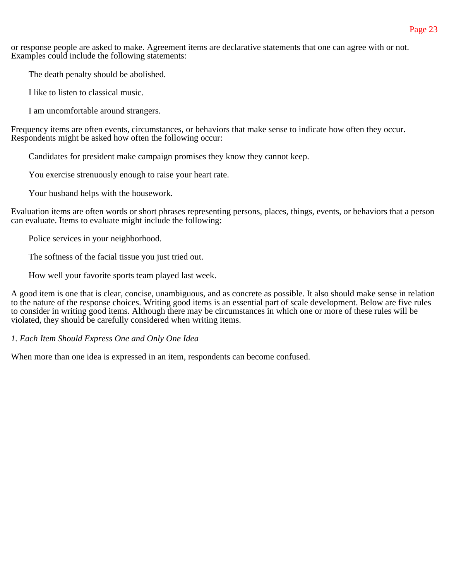or response people are asked to make. Agreement items are declarative statements that one can agree with or not. Examples could include the following statements:

The death penalty should be abolished.

I like to listen to classical music.

I am uncomfortable around strangers.

Frequency items are often events, circumstances, or behaviors that make sense to indicate how often they occur. Respondents might be asked how often the following occur:

Candidates for president make campaign promises they know they cannot keep.

You exercise strenuously enough to raise your heart rate.

Your husband helps with the housework.

Evaluation items are often words or short phrases representing persons, places, things, events, or behaviors that a person can evaluate. Items to evaluate might include the following:

Police services in your neighborhood.

The softness of the facial tissue you just tried out.

How well your favorite sports team played last week.

A good item is one that is clear, concise, unambiguous, and as concrete as possible. It also should make sense in relation to the nature of the response choices. Writing good items is an essential part of scale development. Below are five rules to consider in writing good items. Although there may be circumstances in which one or more of these rules will be violated, they should be carefully considered when writing items.

*1. Each Item Should Express One and Only One Idea*

When more than one idea is expressed in an item, respondents can become confused.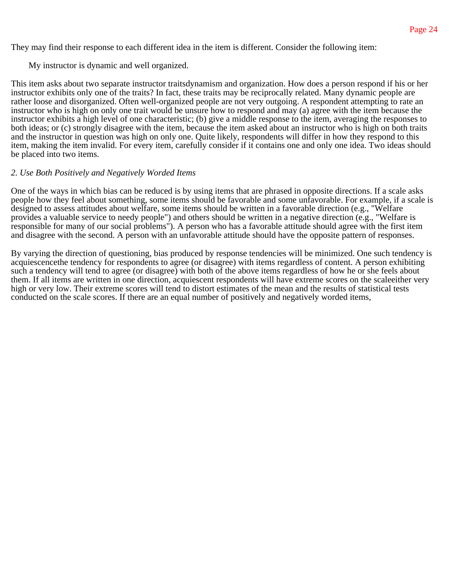They may find their response to each different idea in the item is different. Consider the following item:

My instructor is dynamic and well organized.

This item asks about two separate instructor traitsdynamism and organization. How does a person respond if his or her instructor exhibits only one of the traits? In fact, these traits may be reciprocally related. Many dynamic people are rather loose and disorganized. Often well-organized people are not very outgoing. A respondent attempting to rate an instructor who is high on only one trait would be unsure how to respond and may (a) agree with the item because the instructor exhibits a high level of one characteristic; (b) give a middle response to the item, averaging the responses to both ideas; or (c) strongly disagree with the item, because the item asked about an instructor who is high on both traits and the instructor in question was high on only one. Quite likely, respondents will differ in how they respond to this item, making the item invalid. For every item, carefully consider if it contains one and only one idea. Two ideas should be placed into two items.

## *2. Use Both Positively and Negatively Worded Items*

One of the ways in which bias can be reduced is by using items that are phrased in opposite directions. If a scale asks people how they feel about something, some items should be favorable and some unfavorable. For example, if a scale is designed to assess attitudes about welfare, some items should be written in a favorable direction (e.g., "Welfare provides a valuable service to needy people") and others should be written in a negative direction (e.g., "Welfare is responsible for many of our social problems"). A person who has a favorable attitude should agree with the first item and disagree with the second. A person with an unfavorable attitude should have the opposite pattern of responses.

By varying the direction of questioning, bias produced by response tendencies will be minimized. One such tendency is acquiescencethe tendency for respondents to agree (or disagree) with items regardless of content. A person exhibiting such a tendency will tend to agree (or disagree) with both of the above items regardless of how he or she feels about them. If all items are written in one direction, acquiescent respondents will have extreme scores on the scaleeither very high or very low. Their extreme scores will tend to distort estimates of the mean and the results of statistical tests conducted on the scale scores. If there are an equal number of positively and negatively worded items,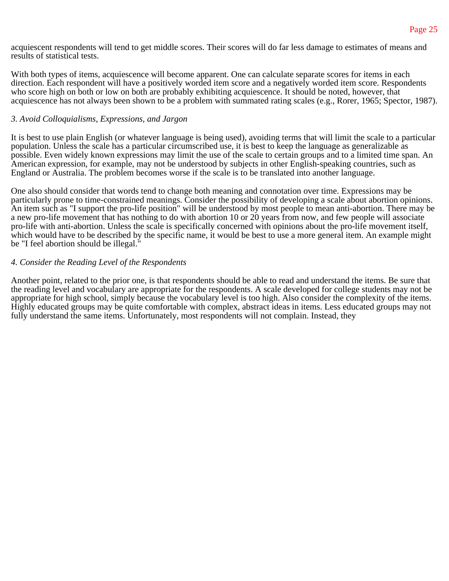acquiescent respondents will tend to get middle scores. Their scores will do far less damage to estimates of means and results of statistical tests.

With both types of items, acquiescence will become apparent. One can calculate separate scores for items in each direction. Each respondent will have a positively worded item score and a negatively worded item score. Respondents who score high on both or low on both are probably exhibiting acquiescence. It should be noted, however, that acquiescence has not always been shown to be a problem with summated rating scales (e.g., Rorer, 1965; Spector, 1987).

## *3. Avoid Colloquialisms, Expressions, and Jargon*

It is best to use plain English (or whatever language is being used), avoiding terms that will limit the scale to a particular population. Unless the scale has a particular circumscribed use, it is best to keep the language as generalizable as possible. Even widely known expressions may limit the use of the scale to certain groups and to a limited time span. An American expression, for example, may not be understood by subjects in other English-speaking countries, such as England or Australia. The problem becomes worse if the scale is to be translated into another language.

One also should consider that words tend to change both meaning and connotation over time. Expressions may be particularly prone to time-constrained meanings. Consider the possibility of developing a scale about abortion opinions. An item such as "I support the pro-life position" will be understood by most people to mean anti-abortion. There may be a new pro-life movement that has nothing to do with abortion 10 or 20 years from now, and few people will associate pro-life with anti-abortion. Unless the scale is specifically concerned with opinions about the pro-life movement itself, which would have to be described by the specific name, it would be best to use a more general item. An example might be "I feel abortion should be illegal."

## *4. Consider the Reading Level of the Respondents*

Another point, related to the prior one, is that respondents should be able to read and understand the items. Be sure that the reading level and vocabulary are appropriate for the respondents. A scale developed for college students may not be appropriate for high school, simply because the vocabulary level is too high. Also consider the complexity of the items. Highly educated groups may be quite comfortable with complex, abstract ideas in items. Less educated groups may not fully understand the same items. Unfortunately, most respondents will not complain. Instead, they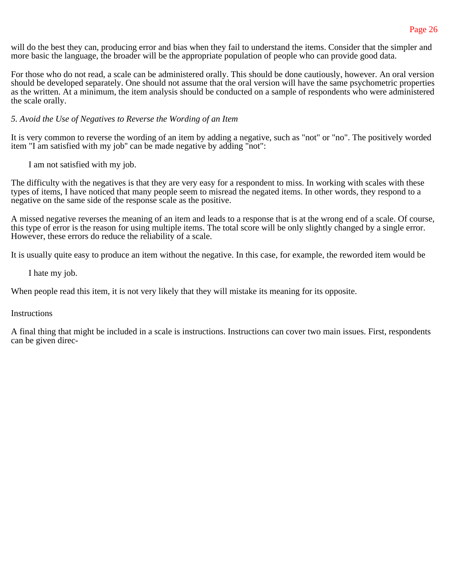will do the best they can, producing error and bias when they fail to understand the items. Consider that the simpler and more basic the language, the broader will be the appropriate population of people who can provide good data.

For those who do not read, a scale can be administered orally. This should be done cautiously, however. An oral version should be developed separately. One should not assume that the oral version will have the same psychometric properties as the written. At a minimum, the item analysis should be conducted on a sample of respondents who were administered the scale orally.

## *5. Avoid the Use of Negatives to Reverse the Wording of an Item*

It is very common to reverse the wording of an item by adding a negative, such as "not" or "no". The positively worded item "I am satisfied with my job'' can be made negative by adding "not":

I am not satisfied with my job.

The difficulty with the negatives is that they are very easy for a respondent to miss. In working with scales with these types of items, I have noticed that many people seem to misread the negated items. In other words, they respond to a negative on the same side of the response scale as the positive.

A missed negative reverses the meaning of an item and leads to a response that is at the wrong end of a scale. Of course, this type of error is the reason for using multiple items. The total score will be only slightly changed by a single error. However, these errors do reduce the reliability of a scale.

It is usually quite easy to produce an item without the negative. In this case, for example, the reworded item would be

I hate my job.

When people read this item, it is not very likely that they will mistake its meaning for its opposite.

#### **Instructions**

A final thing that might be included in a scale is instructions. Instructions can cover two main issues. First, respondents can be given direc-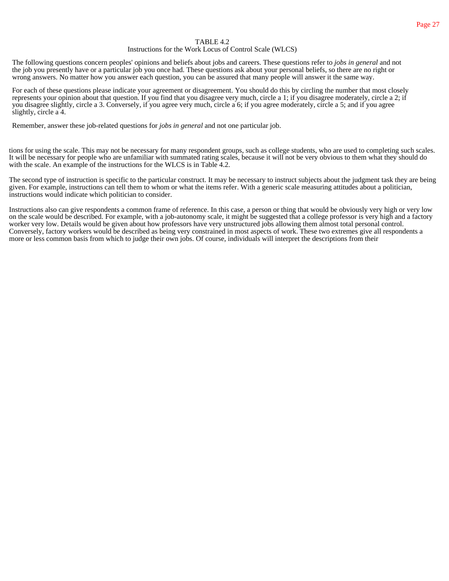#### TABLE 4.2

#### Instructions for the Work Locus of Control Scale (WLCS)

The following questions concern peoples' opinions and beliefs about jobs and careers. These questions refer to *jobs in general* and not the job you presently have or a particular job you once had. These questions ask about your personal beliefs, so there are no right or wrong answers. No matter how you answer each question, you can be assured that many people will answer it the same way.

For each of these questions please indicate your agreement or disagreement. You should do this by circling the number that most closely represents your opinion about that question. If you find that you disagree very much, circle a 1; if you disagree moderately, circle a 2; if you disagree slightly, circle a 3. Conversely, if you agree very much, circle a 6; if you agree moderately, circle a 5; and if you agree slightly, circle a 4.

Remember, answer these job-related questions for *jobs in general* and not one particular job.

tions for using the scale. This may not be necessary for many respondent groups, such as college students, who are used to completing such scales. It will be necessary for people who are unfamiliar with summated rating scales, because it will not be very obvious to them what they should do with the scale. An example of the instructions for the WLCS is in Table 4.2.

The second type of instruction is specific to the particular construct. It may be necessary to instruct subjects about the judgment task they are being given. For example, instructions can tell them to whom or what the items refer. With a generic scale measuring attitudes about a politician, instructions would indicate which politician to consider.

Instructions also can give respondents a common frame of reference. In this case, a person or thing that would be obviously very high or very low on the scale would be described. For example, with a job-autonomy scale, it might be suggested that a college professor is very high and a factory worker very low. Details would be given about how professors have very unstructured jobs allowing them almost total personal control. Conversely, factory workers would be described as being very constrained in most aspects of work. These two extremes give all respondents a more or less common basis from which to judge their own jobs. Of course, individuals will interpret the descriptions from their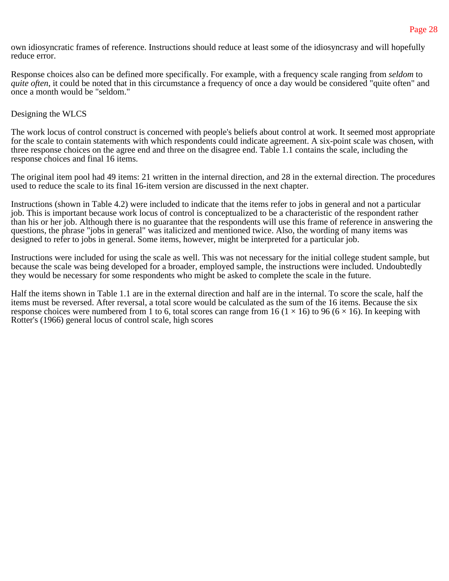own idiosyncratic frames of reference. Instructions should reduce at least some of the idiosyncrasy and will hopefully reduce error.

Response choices also can be defined more specifically. For example, with a frequency scale ranging from *seldom* to *quite often*, it could be noted that in this circumstance a frequency of once a day would be considered "quite often" and once a month would be "seldom."

# Designing the WLCS

The work locus of control construct is concerned with people's beliefs about control at work. It seemed most appropriate for the scale to contain statements with which respondents could indicate agreement. A six-point scale was chosen, with three response choices on the agree end and three on the disagree end. Table 1.1 contains the scale, including the response choices and final 16 items.

The original item pool had 49 items: 21 written in the internal direction, and 28 in the external direction. The procedures used to reduce the scale to its final 16-item version are discussed in the next chapter.

Instructions (shown in Table 4.2) were included to indicate that the items refer to jobs in general and not a particular job. This is important because work locus of control is conceptualized to be a characteristic of the respondent rather than his or her job. Although there is no guarantee that the respondents will use this frame of reference in answering the questions, the phrase "jobs in general" was italicized and mentioned twice. Also, the wording of many items was designed to refer to jobs in general. Some items, however, might be interpreted for a particular job.

Instructions were included for using the scale as well. This was not necessary for the initial college student sample, but because the scale was being developed for a broader, employed sample, the instructions were included. Undoubtedly they would be necessary for some respondents who might be asked to complete the scale in the future.

Half the items shown in Table 1.1 are in the external direction and half are in the internal. To score the scale, half the items must be reversed. After reversal, a total score would be calculated as the sum of the 16 items. Because the six response choices were numbered from 1 to 6, total scores can range from 16 ( $1 \times 16$ ) to 96 ( $6 \times 16$ ). In keeping with Rotter's (1966) general locus of control scale, high scores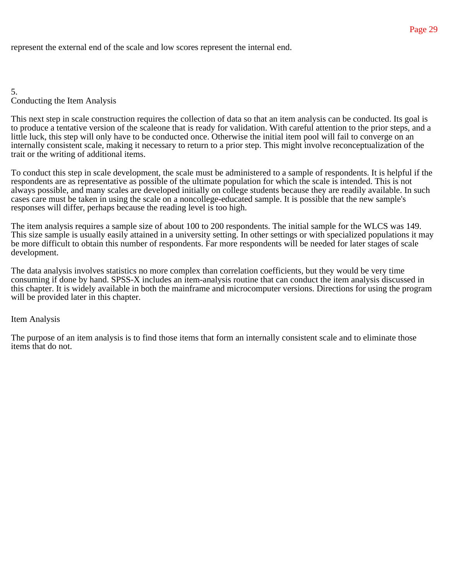represent the external end of the scale and low scores represent the internal end.

# 5. Conducting the Item Analysis

This next step in scale construction requires the collection of data so that an item analysis can be conducted. Its goal is to produce a tentative version of the scaleone that is ready for validation. With careful attention to the prior steps, and a little luck, this step will only have to be conducted once. Otherwise the initial item pool will fail to converge on an internally consistent scale, making it necessary to return to a prior step. This might involve reconceptualization of the trait or the writing of additional items.

To conduct this step in scale development, the scale must be administered to a sample of respondents. It is helpful if the respondents are as representative as possible of the ultimate population for which the scale is intended. This is not always possible, and many scales are developed initially on college students because they are readily available. In such cases care must be taken in using the scale on a noncollege-educated sample. It is possible that the new sample's responses will differ, perhaps because the reading level is too high.

The item analysis requires a sample size of about 100 to 200 respondents. The initial sample for the WLCS was 149. This size sample is usually easily attained in a university setting. In other settings or with specialized populations it may be more difficult to obtain this number of respondents. Far more respondents will be needed for later stages of scale development.

The data analysis involves statistics no more complex than correlation coefficients, but they would be very time consuming if done by hand. SPSS-X includes an item-analysis routine that can conduct the item analysis discussed in this chapter. It is widely available in both the mainframe and microcomputer versions. Directions for using the program will be provided later in this chapter.

# Item Analysis

The purpose of an item analysis is to find those items that form an internally consistent scale and to eliminate those items that do not.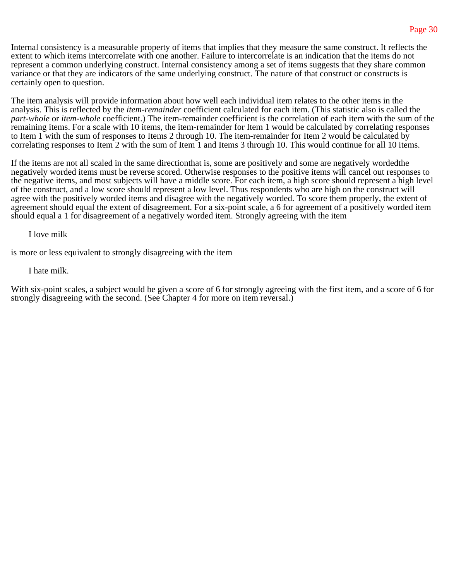Internal consistency is a measurable property of items that implies that they measure the same construct. It reflects the extent to which items intercorrelate with one another. Failure to intercorrelate is an indication that the items do not represent a common underlying construct. Internal consistency among a set of items suggests that they share common variance or that they are indicators of the same underlying construct. The nature of that construct or constructs is certainly open to question.

The item analysis will provide information about how well each individual item relates to the other items in the analysis. This is reflected by the *item-remainder* coefficient calculated for each item. (This statistic also is called the *part-whole* or *item-whole* coefficient.) The item-remainder coefficient is the correlation of each item with the sum of the remaining items. For a scale with 10 items, the item-remainder for Item 1 would be calculated by correlating responses to Item 1 with the sum of responses to Items 2 through 10. The item-remainder for Item 2 would be calculated by correlating responses to Item 2 with the sum of Item 1 and Items 3 through 10. This would continue for all 10 items.

If the items are not all scaled in the same directionthat is, some are positively and some are negatively wordedthe negatively worded items must be reverse scored. Otherwise responses to the positive items will cancel out responses to the negative items, and most subjects will have a middle score. For each item, a high score should represent a high level of the construct, and a low score should represent a low level. Thus respondents who are high on the construct will agree with the positively worded items and disagree with the negatively worded. To score them properly, the extent of agreement should equal the extent of disagreement. For a six-point scale, a 6 for agreement of a positively worded item should equal a 1 for disagreement of a negatively worded item. Strongly agreeing with the item

I love milk

is more or less equivalent to strongly disagreeing with the item

I hate milk.

With six-point scales, a subject would be given a score of 6 for strongly agreeing with the first item, and a score of 6 for strongly disagreeing with the second. (See Chapter 4 for more on item reversal.)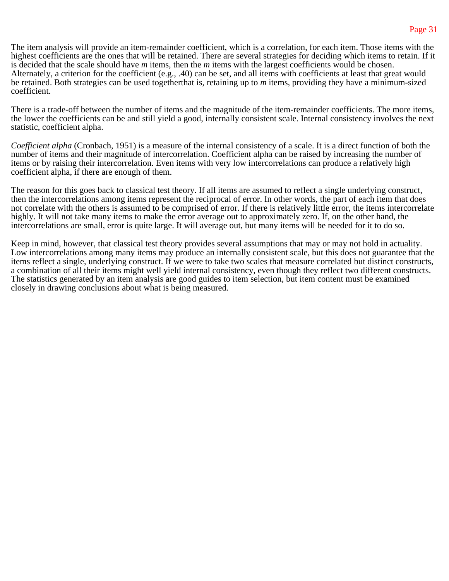The item analysis will provide an item-remainder coefficient, which is a correlation, for each item. Those items with the highest coefficients are the ones that will be retained. There are several strategies for deciding which items to retain. If it is decided that the scale should have *m* items, then the *m* items with the largest coefficients would be chosen. Alternately, a criterion for the coefficient (e.g., .40) can be set, and all items with coefficients at least that great would be retained. Both strategies can be used togetherthat is, retaining up to *m* items, providing they have a minimum-sized coefficient.

There is a trade-off between the number of items and the magnitude of the item-remainder coefficients. The more items, the lower the coefficients can be and still yield a good, internally consistent scale. Internal consistency involves the next statistic, coefficient alpha.

*Coefficient alpha* (Cronbach, 1951) is a measure of the internal consistency of a scale. It is a direct function of both the number of items and their magnitude of intercorrelation. Coefficient alpha can be raised by increasing the number of items or by raising their intercorrelation. Even items with very low intercorrelations can produce a relatively high coefficient alpha, if there are enough of them.

The reason for this goes back to classical test theory. If all items are assumed to reflect a single underlying construct, then the intercorrelations among items represent the reciprocal of error. In other words, the part of each item that does not correlate with the others is assumed to be comprised of error. If there is relatively little error, the items intercorrelate highly. It will not take many items to make the error average out to approximately zero. If, on the other hand, the intercorrelations are small, error is quite large. It will average out, but many items will be needed for it to do so.

Keep in mind, however, that classical test theory provides several assumptions that may or may not hold in actuality. Low intercorrelations among many items may produce an internally consistent scale, but this does not guarantee that the items reflect a single, underlying construct. If we were to take two scales that measure correlated but distinct constructs, a combination of all their items might well yield internal consistency, even though they reflect two different constructs. The statistics generated by an item analysis are good guides to item selection, but item content must be examined closely in drawing conclusions about what is being measured.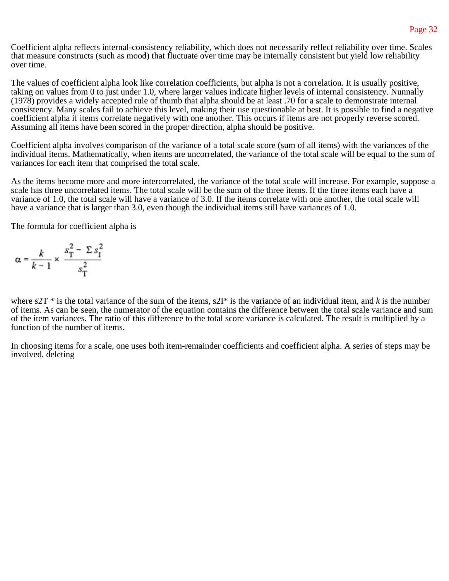Coefficient alpha reflects internal-consistency reliability, which does not necessarily reflect reliability over time. Scales that measure constructs (such as mood) that fluctuate over time may be internally consistent but yield low reliability over time.

The values of coefficient alpha look like correlation coefficients, but alpha is not a correlation. It is usually positive, taking on values from 0 to just under 1.0, where larger values indicate higher levels of internal consistency. Nunnally (1978) provides a widely accepted rule of thumb that alpha should be at least .70 for a scale to demonstrate internal consistency. Many scales fail to achieve this level, making their use questionable at best. It is possible to find a negative coefficient alpha if items correlate negatively with one another. This occurs if items are not properly reverse scored. Assuming all items have been scored in the proper direction, alpha should be positive.

Coefficient alpha involves comparison of the variance of a total scale score (sum of all items) with the variances of the individual items. Mathematically, when items are uncorrelated, the variance of the total scale will be equal to the sum of variances for each item that comprised the total scale.

As the items become more and more intercorrelated, the variance of the total scale will increase. For example, suppose a scale has three uncorrelated items. The total scale will be the sum of the three items. If the three items each have a variance of 1.0, the total scale will have a variance of 3.0. If the items correlate with one another, the total scale will have a variance that is larger than 3.0, even though the individual items still have variances of 1.0.

The formula for coefficient alpha is

$$
\alpha = \frac{k}{k-1} \times \frac{s_{\rm T}^2 - \Sigma s_{\rm I}^2}{s_{\rm T}^2}
$$

where  $s2T^*$  is the total variance of the sum of the items,  $s2I^*$  is the variance of an individual item, and *k* is the number of items. As can be seen, the numerator of the equation contains the difference between the total scale variance and sum of the item variances. The ratio of this difference to the total score variance is calculated. The result is multiplied by a function of the number of items.

In choosing items for a scale, one uses both item-remainder coefficients and coefficient alpha. A series of steps may be involved, deleting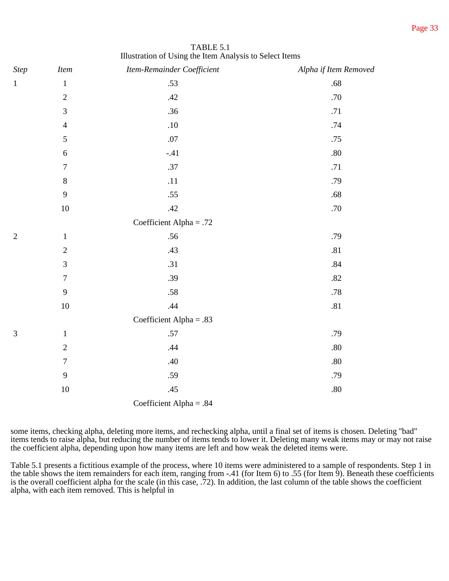| <b>Step</b>    | Item             | Item-Remainder Coefficient | Alpha if Item Removed |
|----------------|------------------|----------------------------|-----------------------|
| $\mathbf{1}$   | $\,1\,$          | .53                        | $.68\,$               |
|                | $\sqrt{2}$       | .42                        | $.70\,$               |
|                | $\mathfrak{Z}$   | .36                        | .71                   |
|                | $\overline{4}$   | $.10\,$                    | .74                   |
|                | 5                | $.07\,$                    | .75                   |
|                | $\sqrt{6}$       | $-.41$                     | $.80\,$               |
|                | $\boldsymbol{7}$ | .37                        | .71                   |
|                | $8\,$            | .11                        | .79                   |
|                | 9                | .55                        | .68                   |
|                | $10\,$           | .42                        | $.70\,$               |
|                |                  | Coefficient Alpha = .72    |                       |
| $\overline{c}$ | $\mathbf{1}$     | .56                        | .79                   |
|                | $\mathbf{2}$     | .43                        | $.81\,$               |
|                | 3                | .31                        | $.84$                 |
|                | $\overline{7}$   | .39                        | $.82\,$               |
|                | $\mathbf{9}$     | $.58\,$                    | $.78\,$               |
|                | $10\,$           | .44                        | $.81\,$               |
|                |                  | Coefficient Alpha = $.83$  |                       |
| 3              | $\mathbf{1}$     | .57                        | .79                   |
|                | $\overline{2}$   | .44                        | $.80\,$               |
|                | $\overline{7}$   | .40                        | $.80\,$               |
|                | $\mathbf{9}$     | .59                        | .79                   |
|                | $10\,$           | .45                        | $.80\,$               |
|                |                  |                            |                       |

TABLE 5.1 Illustration of Using the Item Analysis to Select Items

Coefficient Alpha = .84

some items, checking alpha, deleting more items, and rechecking alpha, until a final set of items is chosen. Deleting ''bad" items tends to raise alpha, but reducing the number of items tends to lower it. Deleting many weak items may or may not raise the coefficient alpha, depending upon how many items are left and how weak the deleted items were.

Table 5.1 presents a fictitious example of the process, where 10 items were administered to a sample of respondents. Step 1 in the table shows the item remainders for each item, ranging from -.41 (for Item 6) to .55 (for Item 9). Beneath these coefficients is the overall coefficient alpha for the scale (in this case, .72). In addition, the last column of the table shows the coefficient alpha, with each item removed. This is helpful in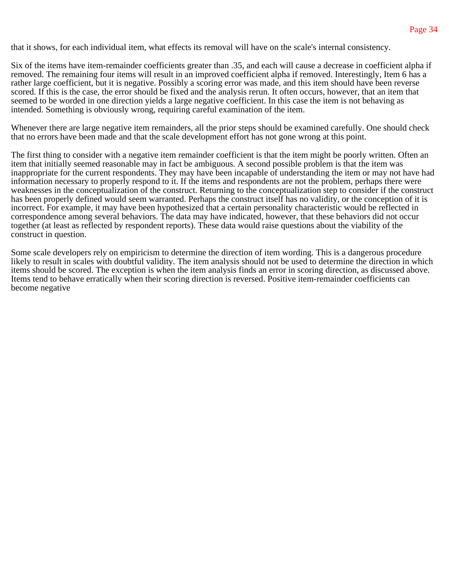that it shows, for each individual item, what effects its removal will have on the scale's internal consistency.

Six of the items have item-remainder coefficients greater than .35, and each will cause a decrease in coefficient alpha if removed. The remaining four items will result in an improved coefficient alpha if removed. Interestingly, Item 6 has a rather large coefficient, but it is negative. Possibly a scoring error was made, and this item should have been reverse scored. If this is the case, the error should be fixed and the analysis rerun. It often occurs, however, that an item that seemed to be worded in one direction yields a large negative coefficient. In this case the item is not behaving as intended. Something is obviously wrong, requiring careful examination of the item.

Whenever there are large negative item remainders, all the prior steps should be examined carefully. One should check that no errors have been made and that the scale development effort has not gone wrong at this point.

The first thing to consider with a negative item remainder coefficient is that the item might be poorly written. Often an item that initially seemed reasonable may in fact be ambiguous. A second possible problem is that the item was inappropriate for the current respondents. They may have been incapable of understanding the item or may not have had information necessary to properly respond to it. If the items and respondents are not the problem, perhaps there were weaknesses in the conceptualization of the construct. Returning to the conceptualization step to consider if the construct has been properly defined would seem warranted. Perhaps the construct itself has no validity, or the conception of it is incorrect. For example, it may have been hypothesized that a certain personality characteristic would be reflected in correspondence among several behaviors. The data may have indicated, however, that these behaviors did not occur together (at least as reflected by respondent reports). These data would raise questions about the viability of the construct in question.

Some scale developers rely on empiricism to determine the direction of item wording. This is a dangerous procedure likely to result in scales with doubtful validity. The item analysis should not be used to determine the direction in which items should be scored. The exception is when the item analysis finds an error in scoring direction, as discussed above. Items tend to behave erratically when their scoring direction is reversed. Positive item-remainder coefficients can become negative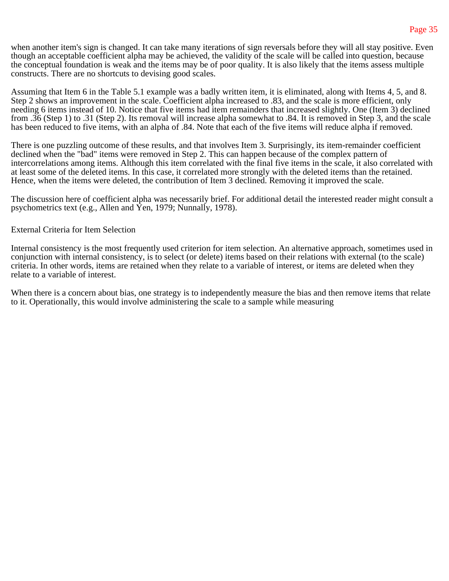when another item's sign is changed. It can take many iterations of sign reversals before they will all stay positive. Even though an acceptable coefficient alpha may be achieved, the validity of the scale will be called into question, because the conceptual foundation is weak and the items may be of poor quality. It is also likely that the items assess multiple constructs. There are no shortcuts to devising good scales.

Assuming that Item 6 in the Table 5.1 example was a badly written item, it is eliminated, along with Items 4, 5, and 8. Step 2 shows an improvement in the scale. Coefficient alpha increased to .83, and the scale is more efficient, only needing 6 items instead of 10. Notice that five items had item remainders that increased slightly. One (Item 3) declined from .36 (Step 1) to .31 (Step 2). Its removal will increase alpha somewhat to .84. It is removed in Step 3, and the scale has been reduced to five items, with an alpha of .84. Note that each of the five items will reduce alpha if removed.

There is one puzzling outcome of these results, and that involves Item 3. Surprisingly, its item-remainder coefficient declined when the "bad" items were removed in Step 2. This can happen because of the complex pattern of intercorrelations among items. Although this item correlated with the final five items in the scale, it also correlated with at least some of the deleted items. In this case, it correlated more strongly with the deleted items than the retained. Hence, when the items were deleted, the contribution of Item 3 declined. Removing it improved the scale.

The discussion here of coefficient alpha was necessarily brief. For additional detail the interested reader might consult a psychometrics text (e.g., Allen and Yen, 1979; Nunnally, 1978).

## External Criteria for Item Selection

Internal consistency is the most frequently used criterion for item selection. An alternative approach, sometimes used in conjunction with internal consistency, is to select (or delete) items based on their relations with external (to the scale) criteria. In other words, items are retained when they relate to a variable of interest, or items are deleted when they relate to a variable of interest.

When there is a concern about bias, one strategy is to independently measure the bias and then remove items that relate to it. Operationally, this would involve administering the scale to a sample while measuring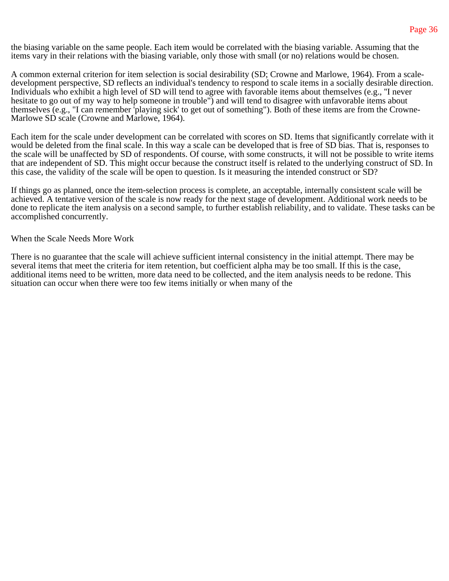the biasing variable on the same people. Each item would be correlated with the biasing variable. Assuming that the items vary in their relations with the biasing variable, only those with small (or no) relations would be chosen.

A common external criterion for item selection is social desirability (SD; Crowne and Marlowe, 1964). From a scaledevelopment perspective, SD reflects an individual's tendency to respond to scale items in a socially desirable direction. Individuals who exhibit a high level of SD will tend to agree with favorable items about themselves (e.g., ''I never hesitate to go out of my way to help someone in trouble") and will tend to disagree with unfavorable items about themselves (e.g., "I can remember 'playing sick' to get out of something"). Both of these items are from the Crowne-Marlowe SD scale (Crowne and Marlowe, 1964).

Each item for the scale under development can be correlated with scores on SD. Items that significantly correlate with it would be deleted from the final scale. In this way a scale can be developed that is free of SD bias. That is, responses to the scale will be unaffected by SD of respondents. Of course, with some constructs, it will not be possible to write items that are independent of SD. This might occur because the construct itself is related to the underlying construct of SD. In this case, the validity of the scale will be open to question. Is it measuring the intended construct or SD?

If things go as planned, once the item-selection process is complete, an acceptable, internally consistent scale will be achieved. A tentative version of the scale is now ready for the next stage of development. Additional work needs to be done to replicate the item analysis on a second sample, to further establish reliability, and to validate. These tasks can be accomplished concurrently.

When the Scale Needs More Work

There is no guarantee that the scale will achieve sufficient internal consistency in the initial attempt. There may be several items that meet the criteria for item retention, but coefficient alpha may be too small. If this is the case, additional items need to be written, more data need to be collected, and the item analysis needs to be redone. This situation can occur when there were too few items initially or when many of the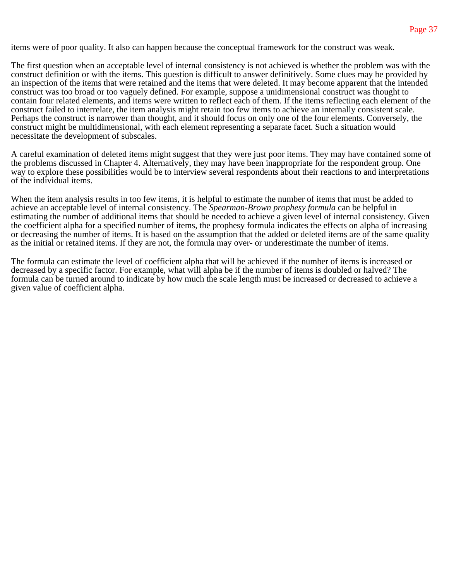items were of poor quality. It also can happen because the conceptual framework for the construct was weak.

The first question when an acceptable level of internal consistency is not achieved is whether the problem was with the construct definition or with the items. This question is difficult to answer definitively. Some clues may be provided by an inspection of the items that were retained and the items that were deleted. It may become apparent that the intended construct was too broad or too vaguely defined. For example, suppose a unidimensional construct was thought to contain four related elements, and items were written to reflect each of them. If the items reflecting each element of the construct failed to interrelate, the item analysis might retain too few items to achieve an internally consistent scale. Perhaps the construct is narrower than thought, and it should focus on only one of the four elements. Conversely, the construct might be multidimensional, with each element representing a separate facet. Such a situation would necessitate the development of subscales.

A careful examination of deleted items might suggest that they were just poor items. They may have contained some of the problems discussed in Chapter 4. Alternatively, they may have been inappropriate for the respondent group. One way to explore these possibilities would be to interview several respondents about their reactions to and interpretations of the individual items.

When the item analysis results in too few items, it is helpful to estimate the number of items that must be added to achieve an acceptable level of internal consistency. The *Spearman-Brown prophesy formula* can be helpful in estimating the number of additional items that should be needed to achieve a given level of internal consistency. Given the coefficient alpha for a specified number of items, the prophesy formula indicates the effects on alpha of increasing or decreasing the number of items. It is based on the assumption that the added or deleted items are of the same quality as the initial or retained items. If they are not, the formula may over- or underestimate the number of items.

The formula can estimate the level of coefficient alpha that will be achieved if the number of items is increased or decreased by a specific factor. For example, what will alpha be if the number of items is doubled or halved? The formula can be turned around to indicate by how much the scale length must be increased or decreased to achieve a given value of coefficient alpha.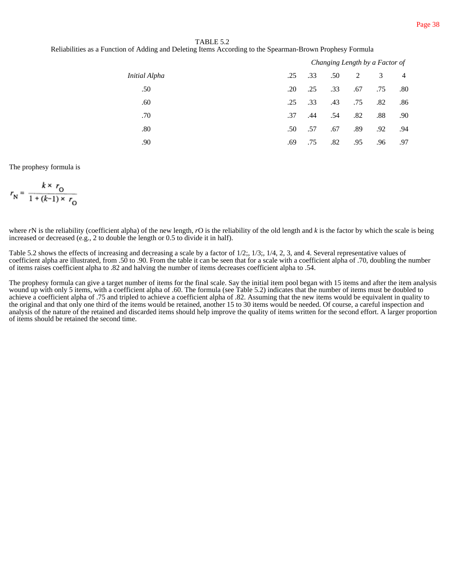#### TABLE 5.2

Reliabilities as a Function of Adding and Deleting Items According to the Spearman-Brown Prophesy Formula

|                      |     |     | Changing Length by a Factor of |     |     |                |
|----------------------|-----|-----|--------------------------------|-----|-----|----------------|
| <b>Initial Alpha</b> | .25 | .33 | .50                            | 2   | 3   | $\overline{4}$ |
| .50                  | .20 | .25 | .33                            | .67 | .75 | .80            |
| .60                  | .25 | .33 | .43                            | .75 | .82 | .86            |
| .70                  | .37 | .44 | .54                            | .82 | .88 | .90            |
| .80                  | .50 | .57 | .67                            | .89 | .92 | .94            |
| .90                  | .69 | .75 | .82                            | .95 | .96 | .97            |
|                      |     |     |                                |     |     |                |

The prophesy formula is

$$
r_{\rm N} = \frac{k \times r_{\rm O}}{1 + (k-1) \times r_{\rm O}}
$$

where  $rN$  is the reliability (coefficient alpha) of the new length,  $rO$  is the reliability of the old length and  $k$  is the factor by which the scale is being increased or decreased (e.g., 2 to double the length or 0.5 to divide it in half).

Table 5.2 shows the effects of increasing and decreasing a scale by a factor of 1/2;, 1/3;, 1/4, 2, 3, and 4. Several representative values of coefficient alpha are illustrated, from .50 to .90. From the table it can be seen that for a scale with a coefficient alpha of .70, doubling the number of items raises coefficient alpha to .82 and halving the number of items decreases coefficient alpha to .54.

The prophesy formula can give a target number of items for the final scale. Say the initial item pool began with 15 items and after the item analysis wound up with only 5 items, with a coefficient alpha of .60. The formula (see Table 5.2) indicates that the number of items must be doubled to achieve a coefficient alpha of .75 and tripled to achieve a coefficient alpha of .82. Assuming that the new items would be equivalent in quality to the original and that only one third of the items would be retained, another 15 to 30 items would be needed. Of course, a careful inspection and analysis of the nature of the retained and discarded items should help improve the quality of items written for the second effort. A larger proportion of items should be retained the second time.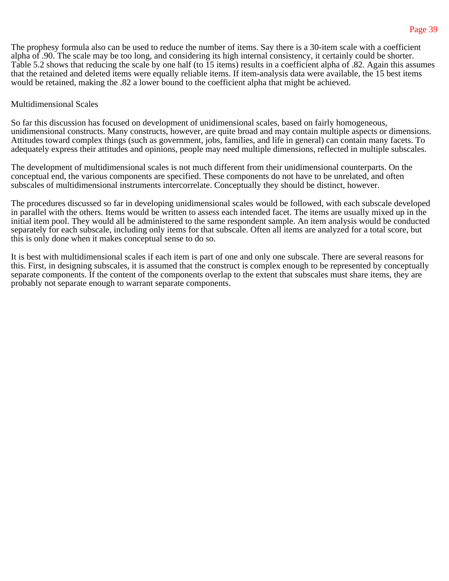The prophesy formula also can be used to reduce the number of items. Say there is a 30-item scale with a coefficient alpha of .90. The scale may be too long, and considering its high internal consistency, it certainly could be shorter. Table 5.2 shows that reducing the scale by one half (to 15 items) results in a coefficient alpha of .82. Again this assumes that the retained and deleted items were equally reliable items. If item-analysis data were available, the 15 best items would be retained, making the .82 a lower bound to the coefficient alpha that might be achieved.

### Multidimensional Scales

So far this discussion has focused on development of unidimensional scales, based on fairly homogeneous, unidimensional constructs. Many constructs, however, are quite broad and may contain multiple aspects or dimensions. Attitudes toward complex things (such as government, jobs, families, and life in general) can contain many facets. To adequately express their attitudes and opinions, people may need multiple dimensions, reflected in multiple subscales.

The development of multidimensional scales is not much different from their unidimensional counterparts. On the conceptual end, the various components are specified. These components do not have to be unrelated, and often subscales of multidimensional instruments intercorrelate. Conceptually they should be distinct, however.

The procedures discussed so far in developing unidimensional scales would be followed, with each subscale developed in parallel with the others. Items would be written to assess each intended facet. The items are usually mixed up in the initial item pool. They would all be administered to the same respondent sample. An item analysis would be conducted separately for each subscale, including only items for that subscale. Often all items are analyzed for a total score, but this is only done when it makes conceptual sense to do so.

It is best with multidimensional scales if each item is part of one and only one subscale. There are several reasons for this. First, in designing subscales, it is assumed that the construct is complex enough to be represented by conceptually separate components. If the content of the components overlap to the extent that subscales must share items, they are probably not separate enough to warrant separate components.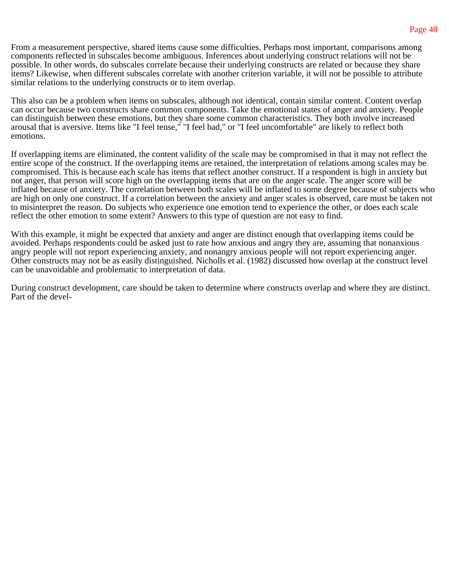From a measurement perspective, shared items cause some difficulties. Perhaps most important, comparisons among components reflected in subscales become ambiguous. Inferences about underlying construct relations will not be possible. In other words, do subscales correlate because their underlying constructs are related or because they share items? Likewise, when different subscales correlate with another criterion variable, it will not be possible to attribute similar relations to the underlying constructs or to item overlap.

This also can be a problem when items on subscales, although not identical, contain similar content. Content overlap can occur because two constructs share common components. Take the emotional states of anger and anxiety. People can distinguish between these emotions, but they share some common characteristics. They both involve increased arousal that is aversive. Items like "I feel tense," "I feel bad," or "I feel uncomfortable" are likely to reflect both emotions.

If overlapping items are eliminated, the content validity of the scale may be compromised in that it may not reflect the entire scope of the construct. If the overlapping items are retained, the interpretation of relations among scales may be compromised. This is because each scale has items that reflect another construct. If a respondent is high in anxiety but not anger, that person will score high on the overlapping items that are on the anger scale. The anger score will be inflated because of anxiety. The correlation between both scales will be inflated to some degree because of subjects who are high on only one construct. If a correlation between the anxiety and anger scales is observed, care must be taken not to misinterpret the reason. Do subjects who experience one emotion tend to experience the other, or does each scale reflect the other emotion to some extent? Answers to this type of question are not easy to find.

With this example, it might be expected that anxiety and anger are distinct enough that overlapping items could be avoided. Perhaps respondents could be asked just to rate how anxious and angry they are, assuming that nonanxious angry people will not report experiencing anxiety, and nonangry anxious people will not report experiencing anger. Other constructs may not be as easily distinguished. Nicholls et al. (1982) discussed how overlap at the construct level can be unavoidable and problematic to interpretation of data.

During construct development, care should be taken to determine where constructs overlap and where they are distinct. Part of the devel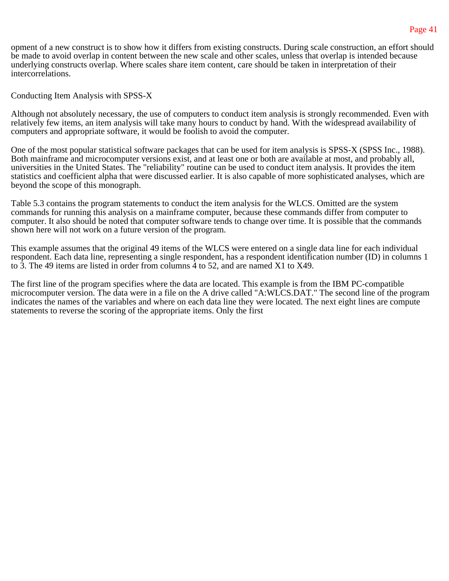opment of a new construct is to show how it differs from existing constructs. During scale construction, an effort should be made to avoid overlap in content between the new scale and other scales, unless that overlap is intended because underlying constructs overlap. Where scales share item content, care should be taken in interpretation of their intercorrelations.

Conducting Item Analysis with SPSS-X

Although not absolutely necessary, the use of computers to conduct item analysis is strongly recommended. Even with relatively few items, an item analysis will take many hours to conduct by hand. With the widespread availability of computers and appropriate software, it would be foolish to avoid the computer.

One of the most popular statistical software packages that can be used for item analysis is SPSS-X (SPSS Inc., 1988). Both mainframe and microcomputer versions exist, and at least one or both are available at most, and probably all, universities in the United States. The "reliability" routine can be used to conduct item analysis. It provides the item statistics and coefficient alpha that were discussed earlier. It is also capable of more sophisticated analyses, which are beyond the scope of this monograph.

Table 5.3 contains the program statements to conduct the item analysis for the WLCS. Omitted are the system commands for running this analysis on a mainframe computer, because these commands differ from computer to computer. It also should be noted that computer software tends to change over time. It is possible that the commands shown here will not work on a future version of the program.

This example assumes that the original 49 items of the WLCS were entered on a single data line for each individual respondent. Each data line, representing a single respondent, has a respondent identification number (ID) in columns 1 to 3. The 49 items are listed in order from columns  $\overline{4}$  to 52, and are named X1 to X49.

The first line of the program specifies where the data are located. This example is from the IBM PC-compatible microcomputer version. The data were in a file on the A drive called "A:WLCS.DAT." The second line of the program indicates the names of the variables and where on each data line they were located. The next eight lines are compute statements to reverse the scoring of the appropriate items. Only the first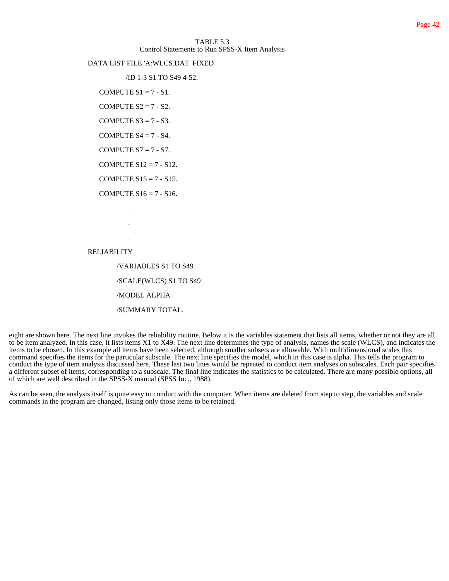TABLE 5.3 Control Statements to Run SPSS-X Item Analysis

#### DATA LIST FILE 'A:WLCS.DAT' FIXED

/ID 1-3 S1 TO S49 4-52.

COMPUTE  $S1 = 7 - S1$ . COMPUTE  $S2 = 7 - S2$ . COMPUTE  $S3 = 7 - S3$ . COMPUTE  $S4 = 7 - S4$ . COMPUTE  $S7 = 7 - S7$ . COMPUTE  $S12 = 7 - S12$ . COMPUTE  $S15 = 7 - S15$ .

COMPUTE  $S16 = 7 - S16$ .

. .

.

#### RELIABILITY

/VARIABLES S1 TO S49 /SCALE(WLCS) S1 TO S49 /MODEL ALPHA /SUMMARY TOTAL.

eight are shown here. The next line invokes the reliability routine. Below it is the variables statement that lists all items, whether or not they are all to be item analyzed. In this case, it lists items X1 to X49. The next line determines the type of analysis, names the scale (WLCS), and indicates the items to be chosen. In this example all items have been selected, although smaller subsets are allowable. With multidimensional scales this command specifies the items for the particular subscale. The next line specifies the model, which in this case is alpha. This tells the program to conduct the type of item analysis discussed here. These last two lines would be repeated to conduct item analyses on subscales. Each pair specifies a different subset of items, corresponding to a subscale. The final line indicates the statistics to be calculated. There are many possible options, all of which are well described in the SPSS-X manual (SPSS Inc., 1988).

As can be seen, the analysis itself is quite easy to conduct with the computer. When items are deleted from step to step, the variables and scale commands in the program are changed, listing only those items to be retained.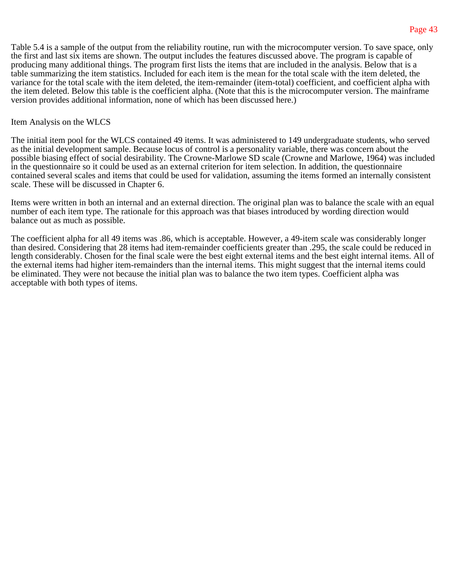Table 5.4 is a sample of the output from the reliability routine, run with the microcomputer version. To save space, only the first and last six items are shown. The output includes the features discussed above. The program is capable of producing many additional things. The program first lists the items that are included in the analysis. Below that is a table summarizing the item statistics. Included for each item is the mean for the total scale with the item deleted, the variance for the total scale with the item deleted, the item-remainder (item-total) coefficient, and coefficient alpha with the item deleted. Below this table is the coefficient alpha. (Note that this is the microcomputer version. The mainframe version provides additional information, none of which has been discussed here.)

#### Item Analysis on the WLCS

The initial item pool for the WLCS contained 49 items. It was administered to 149 undergraduate students, who served as the initial development sample. Because locus of control is a personality variable, there was concern about the possible biasing effect of social desirability. The Crowne-Marlowe SD scale (Crowne and Marlowe, 1964) was included in the questionnaire so it could be used as an external criterion for item selection. In addition, the questionnaire contained several scales and items that could be used for validation, assuming the items formed an internally consistent scale. These will be discussed in Chapter 6.

Items were written in both an internal and an external direction. The original plan was to balance the scale with an equal number of each item type. The rationale for this approach was that biases introduced by wording direction would balance out as much as possible.

The coefficient alpha for all 49 items was .86, which is acceptable. However, a 49-item scale was considerably longer than desired. Considering that 28 items had item-remainder coefficients greater than .295, the scale could be reduced in length considerably. Chosen for the final scale were the best eight external items and the best eight internal items. All of the external items had higher item-remainders than the internal items. This might suggest that the internal items could be eliminated. They were not because the initial plan was to balance the two item types. Coefficient alpha was acceptable with both types of items.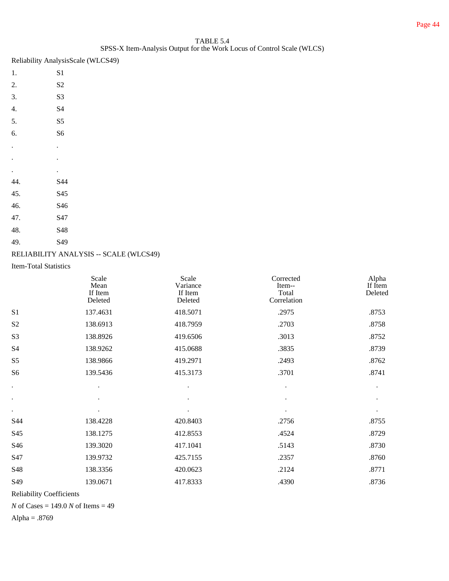#### TABLE 5.4 SPSS-X Item-Analysis Output for the Work Locus of Control Scale (WLCS)

Reliability AnalysisScale (WLCS49)

- 1. S1
- 2. S2
- 3. S3
- 4. S4
- 5. S5
- 6. S6
- . .
- . .
- . .
- 44. S44
- 45. S45
- 46. S46
- 47. S47
- 48. S48
- 
- 49. S49

## RELIABILITY ANALYSIS -- SCALE (WLCS49)

### Item-Total Statistics

|                | Scale<br>Mean<br>If Item<br>Deleted | Scale<br>Variance<br>If Item<br>Deleted | Corrected<br>Item--<br>Total<br>Correlation | Alpha<br>If Item<br>Deleted |
|----------------|-------------------------------------|-----------------------------------------|---------------------------------------------|-----------------------------|
| S <sub>1</sub> | 137.4631                            | 418.5071                                | .2975                                       | .8753                       |
| S <sub>2</sub> | 138.6913                            | 418.7959                                | .2703                                       | .8758                       |
| S <sub>3</sub> | 138.8926                            | 419.6506                                | .3013                                       | .8752                       |
| S4             | 138.9262                            | 415.0688                                | .3835                                       | .8739                       |
| S <sub>5</sub> | 138.9866                            | 419.2971                                | .2493                                       | .8762                       |
| S <sub>6</sub> | 139.5436                            | 415.3173                                | .3701                                       | .8741                       |
| $\bullet$      |                                     |                                         |                                             |                             |
| $\bullet$      |                                     |                                         |                                             |                             |
| $\bullet$      |                                     |                                         | $\bullet$                                   |                             |
| S44            | 138.4228                            | 420.8403                                | .2756                                       | .8755                       |
| S45            | 138.1275                            | 412.8553                                | .4524                                       | .8729                       |
| S46            | 139.3020                            | 417.1041                                | .5143                                       | .8730                       |
| S47            | 139.9732                            | 425.7155                                | .2357                                       | .8760                       |
| S48            | 138.3356                            | 420.0623                                | .2124                                       | .8771                       |
| S49            | 139.0671                            | 417.8333                                | .4390                                       | .8736                       |
|                |                                     |                                         |                                             |                             |

Reliability Coefficients

*N* of Cases = 149.0 *N* of Items = 49

Alpha = .8769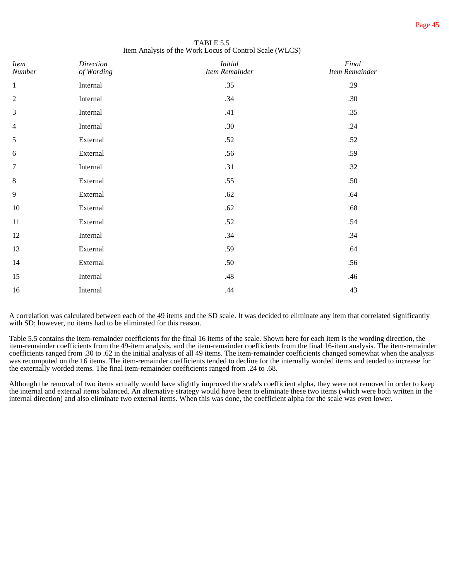| TABLE 5.5                                               |  |
|---------------------------------------------------------|--|
| Item Analysis of the Work Locus of Control Scale (WLCS) |  |

| <b>Item</b><br>Number | Direction<br>of Wording | <i>Initial</i><br>Item Remainder | Final<br>Item Remainder |
|-----------------------|-------------------------|----------------------------------|-------------------------|
| $\mathbf{1}$          | Internal                | .35                              | .29                     |
| $\sqrt{2}$            | Internal                | .34                              | .30                     |
| $\mathfrak{Z}$        | Internal                | .41                              | .35                     |
| $\overline{4}$        | Internal                | .30                              | .24                     |
| $\sqrt{5}$            | External                | .52                              | .52                     |
| 6                     | External                | .56                              | .59                     |
| $\boldsymbol{7}$      | Internal                | .31                              | .32                     |
| $\,8\,$               | External                | .55                              | .50                     |
| 9                     | External                | .62                              | .64                     |
| $10\,$                | External                | .62                              | .68                     |
| 11                    | External                | .52                              | .54                     |
| 12                    | Internal                | .34                              | .34                     |
| 13                    | External                | .59                              | .64                     |
| 14                    | External                | .50                              | .56                     |
| 15                    | Internal                | .48                              | .46                     |
| 16                    | Internal                | .44                              | .43                     |

A correlation was calculated between each of the 49 items and the SD scale. It was decided to eliminate any item that correlated significantly with SD; however, no items had to be eliminated for this reason.

Table 5.5 contains the item-remainder coefficients for the final 16 items of the scale. Shown here for each item is the wording direction, the item-remainder coefficients from the 49-item analysis, and the item-remainder coefficients from the final 16-item analysis. The item-remainder coefficients ranged from .30 to .62 in the initial analysis of all 49 items. The item-remainder coefficients changed somewhat when the analysis was recomputed on the 16 items. The item-remainder coefficients tended to decline for the internally worded items and tended to increase for the externally worded items. The final item-remainder coefficients ranged from .24 to .68.

Although the removal of two items actually would have slightly improved the scale's coefficient alpha, they were not removed in order to keep the internal and external items balanced. An alternative strategy would have been to eliminate these two items (which were both written in the internal direction) and also eliminate two external items. When this was done, the coefficient alpha for the scale was even lower.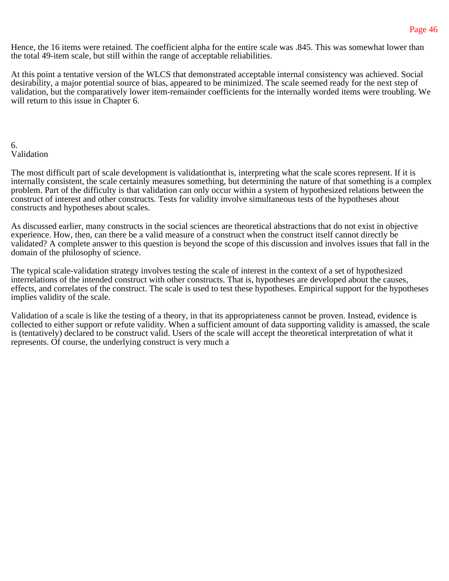Hence, the 16 items were retained. The coefficient alpha for the entire scale was .845. This was somewhat lower than the total 49-item scale, but still within the range of acceptable reliabilities.

At this point a tentative version of the WLCS that demonstrated acceptable internal consistency was achieved. Social desirability, a major potential source of bias, appeared to be minimized. The scale seemed ready for the next step of validation, but the comparatively lower item-remainder coefficients for the internally worded items were troubling. We will return to this issue in Chapter 6.

#### 6. Validation

The most difficult part of scale development is validationthat is, interpreting what the scale scores represent. If it is internally consistent, the scale certainly measures something, but determining the nature of that something is a complex problem. Part of the difficulty is that validation can only occur within a system of hypothesized relations between the construct of interest and other constructs. Tests for validity involve simultaneous tests of the hypotheses about constructs and hypotheses about scales.

As discussed earlier, many constructs in the social sciences are theoretical abstractions that do not exist in objective experience. How, then, can there be a valid measure of a construct when the construct itself cannot directly be validated? A complete answer to this question is beyond the scope of this discussion and involves issues that fall in the domain of the philosophy of science.

The typical scale-validation strategy involves testing the scale of interest in the context of a set of hypothesized interrelations of the intended construct with other constructs. That is, hypotheses are developed about the causes, effects, and correlates of the construct. The scale is used to test these hypotheses. Empirical support for the hypotheses implies validity of the scale.

Validation of a scale is like the testing of a theory, in that its appropriateness cannot be proven. Instead, evidence is collected to either support or refute validity. When a sufficient amount of data supporting validity is amassed, the scale is (tentatively) declared to be construct valid. Users of the scale will accept the theoretical interpretation of what it represents. Of course, the underlying construct is very much a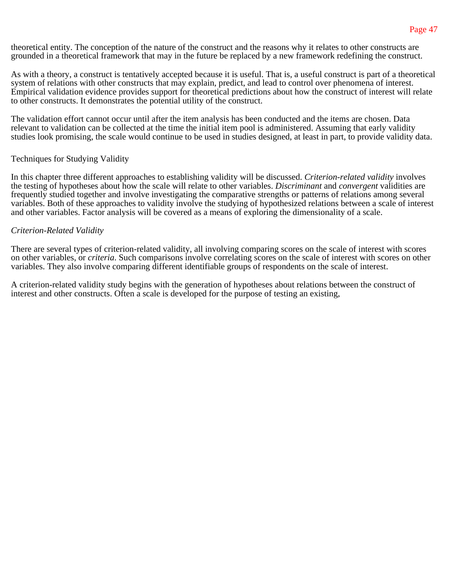theoretical entity. The conception of the nature of the construct and the reasons why it relates to other constructs are grounded in a theoretical framework that may in the future be replaced by a new framework redefining the construct.

As with a theory, a construct is tentatively accepted because it is useful. That is, a useful construct is part of a theoretical system of relations with other constructs that may explain, predict, and lead to control over phenomena of interest. Empirical validation evidence provides support for theoretical predictions about how the construct of interest will relate to other constructs. It demonstrates the potential utility of the construct.

The validation effort cannot occur until after the item analysis has been conducted and the items are chosen. Data relevant to validation can be collected at the time the initial item pool is administered. Assuming that early validity studies look promising, the scale would continue to be used in studies designed, at least in part, to provide validity data.

### Techniques for Studying Validity

In this chapter three different approaches to establishing validity will be discussed. *Criterion-related validity* involves the testing of hypotheses about how the scale will relate to other variables. *Discriminant* and *convergent* validities are frequently studied together and involve investigating the comparative strengths or patterns of relations among several variables. Both of these approaches to validity involve the studying of hypothesized relations between a scale of interest and other variables. Factor analysis will be covered as a means of exploring the dimensionality of a scale.

### *Criterion-Related Validity*

There are several types of criterion-related validity, all involving comparing scores on the scale of interest with scores on other variables, or *criteria*. Such comparisons involve correlating scores on the scale of interest with scores on other variables. They also involve comparing different identifiable groups of respondents on the scale of interest.

A criterion-related validity study begins with the generation of hypotheses about relations between the construct of interest and other constructs. Often a scale is developed for the purpose of testing an existing,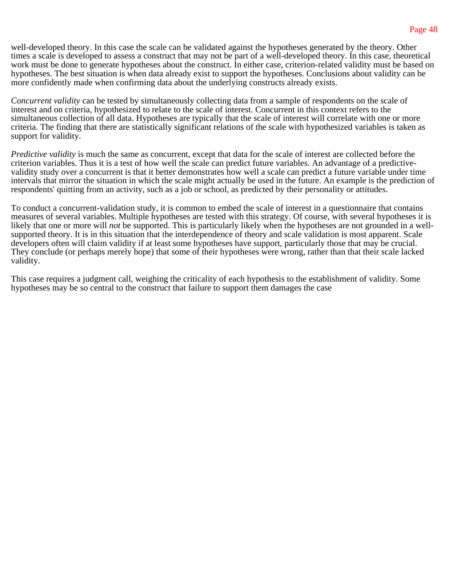well-developed theory. In this case the scale can be validated against the hypotheses generated by the theory. Other times a scale is developed to assess a construct that may not be part of a well-developed theory. In this case, theoretical work must be done to generate hypotheses about the construct. In either case, criterion-related validity must be based on hypotheses. The best situation is when data already exist to support the hypotheses. Conclusions about validity can be more confidently made when confirming data about the underlying constructs already exists.

*Concurrent validity* can be tested by simultaneously collecting data from a sample of respondents on the scale of interest and on criteria, hypothesized to relate to the scale of interest. Concurrent in this context refers to the simultaneous collection of all data. Hypotheses are typically that the scale of interest will correlate with one or more criteria. The finding that there are statistically significant relations of the scale with hypothesized variables is taken as support for validity.

*Predictive validity* is much the same as concurrent, except that data for the scale of interest are collected before the criterion variables. Thus it is a test of how well the scale can predict future variables. An advantage of a predictivevalidity study over a concurrent is that it better demonstrates how well a scale can predict a future variable under time intervals that mirror the situation in which the scale might actually be used in the future. An example is the prediction of respondents' quitting from an activity, such as a job or school, as predicted by their personality or attitudes.

To conduct a concurrent-validation study, it is common to embed the scale of interest in a questionnaire that contains measures of several variables. Multiple hypotheses are tested with this strategy. Of course, with several hypotheses it is likely that one or more will *not* be supported. This is particularly likely when the hypotheses are not grounded in a wellsupported theory. It is in this situation that the interdependence of theory and scale validation is most apparent. Scale developers often will claim validity if at least some hypotheses have support, particularly those that may be crucial. They conclude (or perhaps merely hope) that some of their hypotheses were wrong, rather than that their scale lacked validity.

This case requires a judgment call, weighing the criticality of each hypothesis to the establishment of validity. Some hypotheses may be so central to the construct that failure to support them damages the case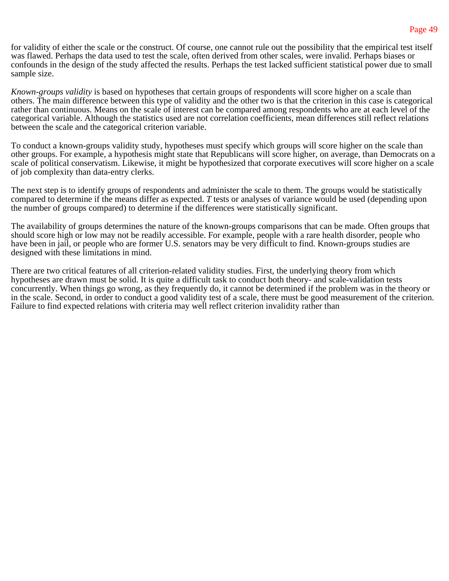for validity of either the scale or the construct. Of course, one cannot rule out the possibility that the empirical test itself was flawed. Perhaps the data used to test the scale, often derived from other scales, were invalid. Perhaps biases or confounds in the design of the study affected the results. Perhaps the test lacked sufficient statistical power due to small sample size.

*Known-groups validity* is based on hypotheses that certain groups of respondents will score higher on a scale than others. The main difference between this type of validity and the other two is that the criterion in this case is categorical rather than continuous. Means on the scale of interest can be compared among respondents who are at each level of the categorical variable. Although the statistics used are not correlation coefficients, mean differences still reflect relations between the scale and the categorical criterion variable.

To conduct a known-groups validity study, hypotheses must specify which groups will score higher on the scale than other groups. For example, a hypothesis might state that Republicans will score higher, on average, than Democrats on a scale of political conservatism. Likewise, it might be hypothesized that corporate executives will score higher on a scale of job complexity than data-entry clerks.

The next step is to identify groups of respondents and administer the scale to them. The groups would be statistically compared to determine if the means differ as expected. *T* tests or analyses of variance would be used (depending upon the number of groups compared) to determine if the differences were statistically significant.

The availability of groups determines the nature of the known-groups comparisons that can be made. Often groups that should score high or low may not be readily accessible. For example, people with a rare health disorder, people who have been in jail, or people who are former U.S. senators may be very difficult to find. Known-groups studies are designed with these limitations in mind.

There are two critical features of all criterion-related validity studies. First, the underlying theory from which hypotheses are drawn must be solid. It is quite a difficult task to conduct both theory- and scale-validation tests concurrently. When things go wrong, as they frequently do, it cannot be determined if the problem was in the theory or in the scale. Second, in order to conduct a good validity test of a scale, there must be good measurement of the criterion. Failure to find expected relations with criteria may well reflect criterion invalidity rather than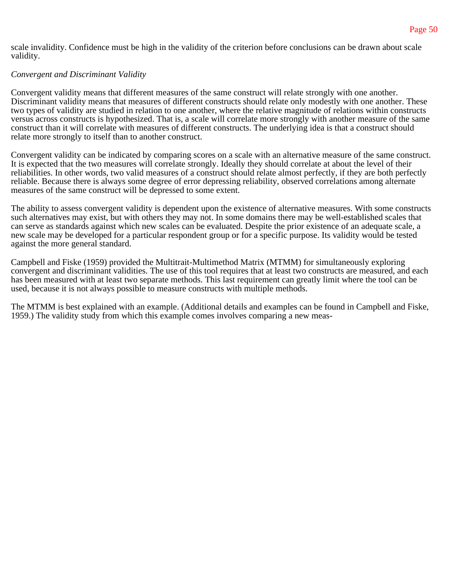scale invalidity. Confidence must be high in the validity of the criterion before conclusions can be drawn about scale validity.

# *Convergent and Discriminant Validity*

Convergent validity means that different measures of the same construct will relate strongly with one another. Discriminant validity means that measures of different constructs should relate only modestly with one another. These two types of validity are studied in relation to one another, where the relative magnitude of relations within constructs versus across constructs is hypothesized. That is, a scale will correlate more strongly with another measure of the same construct than it will correlate with measures of different constructs. The underlying idea is that a construct should relate more strongly to itself than to another construct.

Convergent validity can be indicated by comparing scores on a scale with an alternative measure of the same construct. It is expected that the two measures will correlate strongly. Ideally they should correlate at about the level of their reliabilities. In other words, two valid measures of a construct should relate almost perfectly, if they are both perfectly reliable. Because there is always some degree of error depressing reliability, observed correlations among alternate measures of the same construct will be depressed to some extent.

The ability to assess convergent validity is dependent upon the existence of alternative measures. With some constructs such alternatives may exist, but with others they may not. In some domains there may be well-established scales that can serve as standards against which new scales can be evaluated. Despite the prior existence of an adequate scale, a new scale may be developed for a particular respondent group or for a specific purpose. Its validity would be tested against the more general standard.

Campbell and Fiske (1959) provided the Multitrait-Multimethod Matrix (MTMM) for simultaneously exploring convergent and discriminant validities. The use of this tool requires that at least two constructs are measured, and each has been measured with at least two separate methods. This last requirement can greatly limit where the tool can be used, because it is not always possible to measure constructs with multiple methods.

The MTMM is best explained with an example. (Additional details and examples can be found in Campbell and Fiske, 1959.) The validity study from which this example comes involves comparing a new meas-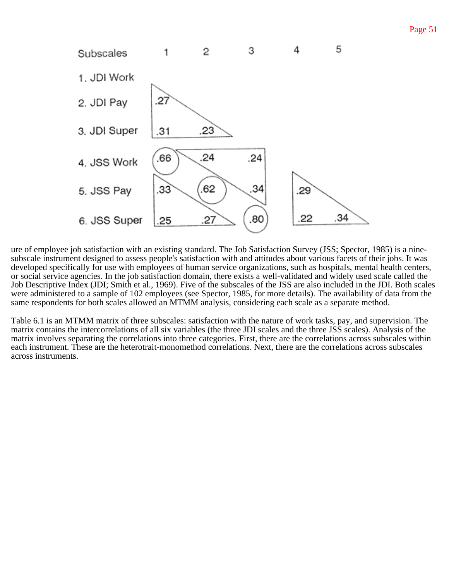

ure of employee job satisfaction with an existing standard. The Job Satisfaction Survey (JSS; Spector, 1985) is a ninesubscale instrument designed to assess people's satisfaction with and attitudes about various facets of their jobs. It was developed specifically for use with employees of human service organizations, such as hospitals, mental health centers, or social service agencies. In the job satisfaction domain, there exists a well-validated and widely used scale called the Job Descriptive Index (JDI; Smith et al., 1969). Five of the subscales of the JSS are also included in the JDI. Both scales were administered to a sample of 102 employees (see Spector, 1985, for more details). The availability of data from the same respondents for both scales allowed an MTMM analysis, considering each scale as a separate method.

Table 6.1 is an MTMM matrix of three subscales: satisfaction with the nature of work tasks, pay, and supervision. The matrix contains the intercorrelations of all six variables (the three JDI scales and the three JSS scales). Analysis of the matrix involves separating the correlations into three categories. First, there are the correlations across subscales within each instrument. These are the heterotrait-monomethod correlations. Next, there are the correlations across subscales across instruments.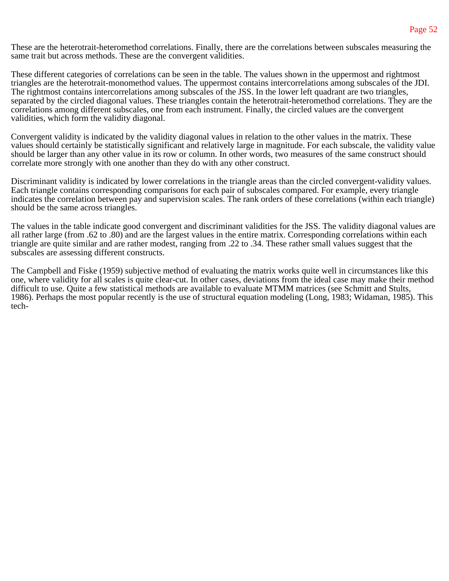These are the heterotrait-heteromethod correlations. Finally, there are the correlations between subscales measuring the same trait but across methods. These are the convergent validities.

These different categories of correlations can be seen in the table. The values shown in the uppermost and rightmost triangles are the heterotrait-monomethod values. The uppermost contains intercorrelations among subscales of the JDI. The rightmost contains intercorrelations among subscales of the JSS. In the lower left quadrant are two triangles, separated by the circled diagonal values. These triangles contain the heterotrait-heteromethod correlations. They are the correlations among different subscales, one from each instrument. Finally, the circled values are the convergent validities, which form the validity diagonal.

Convergent validity is indicated by the validity diagonal values in relation to the other values in the matrix. These values should certainly be statistically significant and relatively large in magnitude. For each subscale, the validity value should be larger than any other value in its row or column. In other words, two measures of the same construct should correlate more strongly with one another than they do with any other construct.

Discriminant validity is indicated by lower correlations in the triangle areas than the circled convergent-validity values. Each triangle contains corresponding comparisons for each pair of subscales compared. For example, every triangle indicates the correlation between pay and supervision scales. The rank orders of these correlations (within each triangle) should be the same across triangles.

The values in the table indicate good convergent and discriminant validities for the JSS. The validity diagonal values are all rather large (from .62 to .80) and are the largest values in the entire matrix. Corresponding correlations within each triangle are quite similar and are rather modest, ranging from .22 to .34. These rather small values suggest that the subscales are assessing different constructs.

The Campbell and Fiske (1959) subjective method of evaluating the matrix works quite well in circumstances like this one, where validity for all scales is quite clear-cut. In other cases, deviations from the ideal case may make their method difficult to use. Quite a few statistical methods are available to evaluate MTMM matrices (see Schmitt and Stults, 1986). Perhaps the most popular recently is the use of structural equation modeling (Long, 1983; Widaman, 1985). This tech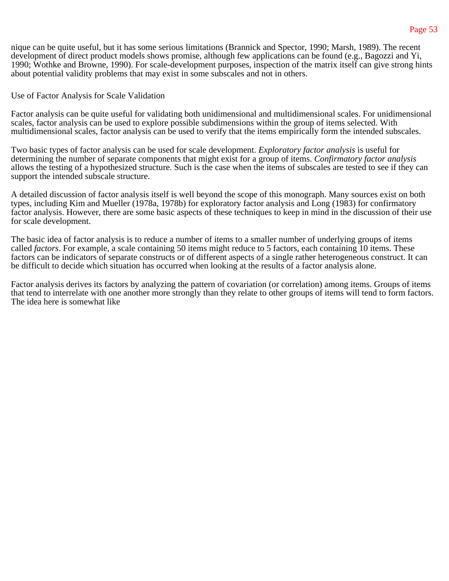nique can be quite useful, but it has some serious limitations (Brannick and Spector, 1990; Marsh, 1989). The recent development of direct product models shows promise, although few applications can be found (e.g., Bagozzi and Yi, 1990; Wothke and Browne, 1990). For scale-development purposes, inspection of the matrix itself can give strong hints about potential validity problems that may exist in some subscales and not in others.

Use of Factor Analysis for Scale Validation

Factor analysis can be quite useful for validating both unidimensional and multidimensional scales. For unidimensional scales, factor analysis can be used to explore possible subdimensions within the group of items selected. With multidimensional scales, factor analysis can be used to verify that the items empirically form the intended subscales.

Two basic types of factor analysis can be used for scale development. *Exploratory factor analysis* is useful for determining the number of separate components that might exist for a group of items. *Confirmatory factor analysis* allows the testing of a hypothesized structure. Such is the case when the items of subscales are tested to see if they can support the intended subscale structure.

A detailed discussion of factor analysis itself is well beyond the scope of this monograph. Many sources exist on both types, including Kim and Mueller (1978a, 1978b) for exploratory factor analysis and Long (1983) for confirmatory factor analysis. However, there are some basic aspects of these techniques to keep in mind in the discussion of their use for scale development.

The basic idea of factor analysis is to reduce a number of items to a smaller number of underlying groups of items called *factors*. For example, a scale containing 50 items might reduce to 5 factors, each containing 10 items. These factors can be indicators of separate constructs or of different aspects of a single rather heterogeneous construct. It can be difficult to decide which situation has occurred when looking at the results of a factor analysis alone.

Factor analysis derives its factors by analyzing the pattern of covariation (or correlation) among items. Groups of items that tend to interrelate with one another more strongly than they relate to other groups of items will tend to form factors. The idea here is somewhat like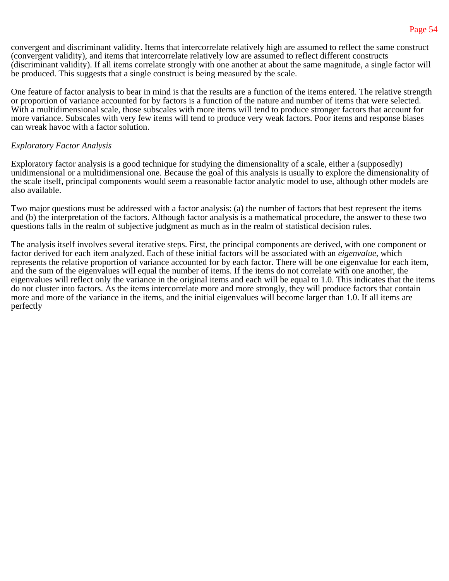convergent and discriminant validity. Items that intercorrelate relatively high are assumed to reflect the same construct (convergent validity), and items that intercorrelate relatively low are assumed to reflect different constructs (discriminant validity). If all items correlate strongly with one another at about the same magnitude, a single factor will be produced. This suggests that a single construct is being measured by the scale.

One feature of factor analysis to bear in mind is that the results are a function of the items entered. The relative strength or proportion of variance accounted for by factors is a function of the nature and number of items that were selected. With a multidimensional scale, those subscales with more items will tend to produce stronger factors that account for more variance. Subscales with very few items will tend to produce very weak factors. Poor items and response biases can wreak havoc with a factor solution.

# *Exploratory Factor Analysis*

Exploratory factor analysis is a good technique for studying the dimensionality of a scale, either a (supposedly) unidimensional or a multidimensional one. Because the goal of this analysis is usually to explore the dimensionality of the scale itself, principal components would seem a reasonable factor analytic model to use, although other models are also available.

Two major questions must be addressed with a factor analysis: (a) the number of factors that best represent the items and (b) the interpretation of the factors. Although factor analysis is a mathematical procedure, the answer to these two questions falls in the realm of subjective judgment as much as in the realm of statistical decision rules.

The analysis itself involves several iterative steps. First, the principal components are derived, with one component or factor derived for each item analyzed. Each of these initial factors will be associated with an *eigenvalue*, which represents the relative proportion of variance accounted for by each factor. There will be one eigenvalue for each item, and the sum of the eigenvalues will equal the number of items. If the items do not correlate with one another, the eigenvalues will reflect only the variance in the original items and each will be equal to 1.0. This indicates that the items do not cluster into factors. As the items intercorrelate more and more strongly, they will produce factors that contain more and more of the variance in the items, and the initial eigenvalues will become larger than 1.0. If all items are perfectly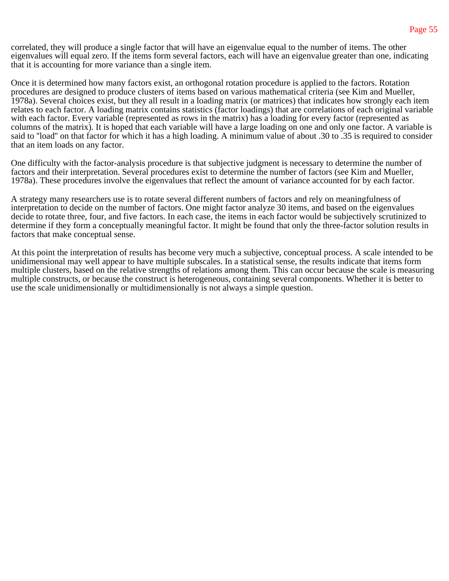correlated, they will produce a single factor that will have an eigenvalue equal to the number of items. The other eigenvalues will equal zero. If the items form several factors, each will have an eigenvalue greater than one, indicating that it is accounting for more variance than a single item.

Once it is determined how many factors exist, an orthogonal rotation procedure is applied to the factors. Rotation procedures are designed to produce clusters of items based on various mathematical criteria (see Kim and Mueller, 1978a). Several choices exist, but they all result in a loading matrix (or matrices) that indicates how strongly each item relates to each factor. A loading matrix contains statistics (factor loadings) that are correlations of each original variable with each factor. Every variable (represented as rows in the matrix) has a loading for every factor (represented as columns of the matrix). It is hoped that each variable will have a large loading on one and only one factor. A variable is said to ''load'' on that factor for which it has a high loading. A minimum value of about .30 to .35 is required to consider that an item loads on any factor.

One difficulty with the factor-analysis procedure is that subjective judgment is necessary to determine the number of factors and their interpretation. Several procedures exist to determine the number of factors (see Kim and Mueller, 1978a). These procedures involve the eigenvalues that reflect the amount of variance accounted for by each factor.

A strategy many researchers use is to rotate several different numbers of factors and rely on meaningfulness of interpretation to decide on the number of factors. One might factor analyze 30 items, and based on the eigenvalues decide to rotate three, four, and five factors. In each case, the items in each factor would be subjectively scrutinized to determine if they form a conceptually meaningful factor. It might be found that only the three-factor solution results in factors that make conceptual sense.

At this point the interpretation of results has become very much a subjective, conceptual process. A scale intended to be unidimensional may well appear to have multiple subscales. In a statistical sense, the results indicate that items form multiple clusters, based on the relative strengths of relations among them. This can occur because the scale is measuring multiple constructs, or because the construct is heterogeneous, containing several components. Whether it is better to use the scale unidimensionally or multidimensionally is not always a simple question.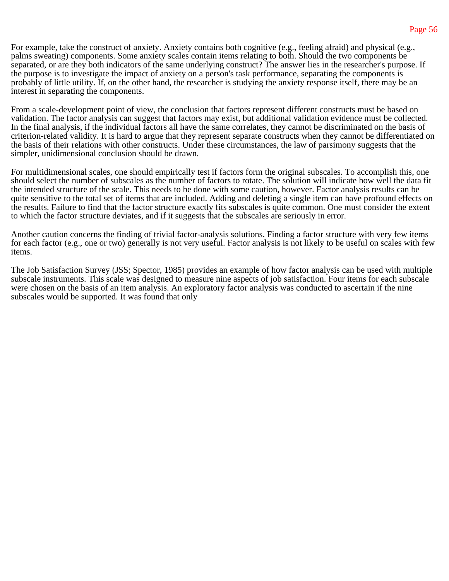For example, take the construct of anxiety. Anxiety contains both cognitive (e.g., feeling afraid) and physical (e.g., palms sweating) components. Some anxiety scales contain items relating to both. Should the two components be separated, or are they both indicators of the same underlying construct? The answer lies in the researcher's purpose. If the purpose is to investigate the impact of anxiety on a person's task performance, separating the components is probably of little utility. If, on the other hand, the researcher is studying the anxiety response itself, there may be an interest in separating the components.

From a scale-development point of view, the conclusion that factors represent different constructs must be based on validation. The factor analysis can suggest that factors may exist, but additional validation evidence must be collected. In the final analysis, if the individual factors all have the same correlates, they cannot be discriminated on the basis of criterion-related validity. It is hard to argue that they represent separate constructs when they cannot be differentiated on the basis of their relations with other constructs. Under these circumstances, the law of parsimony suggests that the simpler, unidimensional conclusion should be drawn.

For multidimensional scales, one should empirically test if factors form the original subscales. To accomplish this, one should select the number of subscales as the number of factors to rotate. The solution will indicate how well the data fit the intended structure of the scale. This needs to be done with some caution, however. Factor analysis results can be quite sensitive to the total set of items that are included. Adding and deleting a single item can have profound effects on the results. Failure to find that the factor structure exactly fits subscales is quite common. One must consider the extent to which the factor structure deviates, and if it suggests that the subscales are seriously in error.

Another caution concerns the finding of trivial factor-analysis solutions. Finding a factor structure with very few items for each factor (e.g., one or two) generally is not very useful. Factor analysis is not likely to be useful on scales with few items.

The Job Satisfaction Survey (JSS; Spector, 1985) provides an example of how factor analysis can be used with multiple subscale instruments. This scale was designed to measure nine aspects of job satisfaction. Four items for each subscale were chosen on the basis of an item analysis. An exploratory factor analysis was conducted to ascertain if the nine subscales would be supported. It was found that only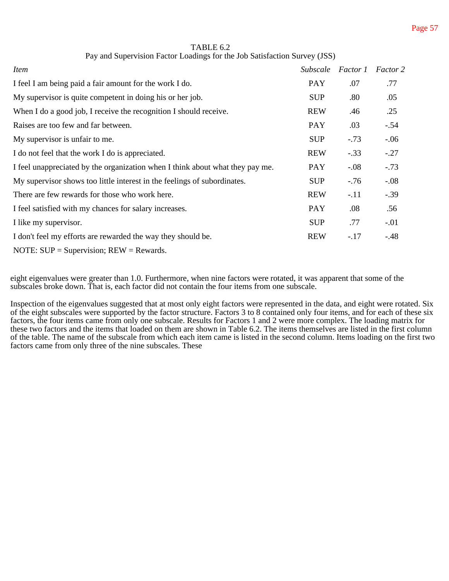#### TABLE 6.2 Pay and Supervision Factor Loadings for the Job Satisfaction Survey (JSS)

| <b>Item</b>                                                                   | Subscale   | Factor 1 | Factor 2 |
|-------------------------------------------------------------------------------|------------|----------|----------|
| I feel I am being paid a fair amount for the work I do.                       | <b>PAY</b> | .07      | .77      |
| My supervisor is quite competent in doing his or her job.                     | <b>SUP</b> | .80      | .05      |
| When I do a good job, I receive the recognition I should receive.             | <b>REW</b> | .46      | .25      |
| Raises are too few and far between.                                           | <b>PAY</b> | .03      | $-.54$   |
| My supervisor is unfair to me.                                                | <b>SUP</b> | $-.73$   | $-.06$   |
| I do not feel that the work I do is appreciated.                              | <b>REW</b> | $-.33$   | $-.27$   |
| I feel unappreciated by the organization when I think about what they pay me. | <b>PAY</b> | $-.08$   | $-.73$   |
| My supervisor shows too little interest in the feelings of subordinates.      | <b>SUP</b> | $-76$    | $-.08$   |
| There are few rewards for those who work here.                                | <b>REW</b> | $-.11$   | $-.39$   |
| I feel satisfied with my chances for salary increases.                        | <b>PAY</b> | .08      | .56      |
| I like my supervisor.                                                         | <b>SUP</b> | .77      | $-.01$   |
| I don't feel my efforts are rewarded the way they should be.                  | <b>REW</b> | $-.17$   | $-.48$   |
|                                                                               |            |          |          |

NOTE: SUP = Supervision; REW = Rewards.

eight eigenvalues were greater than 1.0. Furthermore, when nine factors were rotated, it was apparent that some of the subscales broke down. That is, each factor did not contain the four items from one subscale.

Inspection of the eigenvalues suggested that at most only eight factors were represented in the data, and eight were rotated. Six of the eight subscales were supported by the factor structure. Factors 3 to 8 contained only four items, and for each of these six factors, the four items came from only one subscale. Results for Factors 1 and 2 were more complex. The loading matrix for these two factors and the items that loaded on them are shown in Table 6.2. The items themselves are listed in the first column of the table. The name of the subscale from which each item came is listed in the second column. Items loading on the first two factors came from only three of the nine subscales. These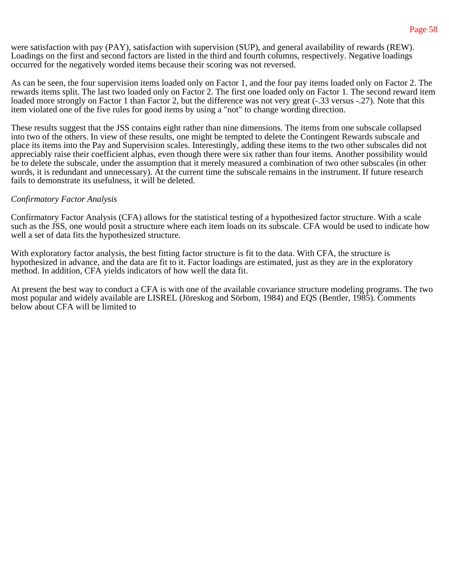were satisfaction with pay (PAY), satisfaction with supervision (SUP), and general availability of rewards (REW). Loadings on the first and second factors are listed in the third and fourth columns, respectively. Negative loadings occurred for the negatively worded items because their scoring was not reversed.

As can be seen, the four supervision items loaded only on Factor 1, and the four pay items loaded only on Factor 2. The rewards items split. The last two loaded only on Factor 2. The first one loaded only on Factor 1. The second reward item loaded more strongly on Factor 1 than Factor 2, but the difference was not very great (-.33 versus -.27). Note that this item violated one of the five rules for good items by using a "not" to change wording direction.

These results suggest that the JSS contains eight rather than nine dimensions. The items from one subscale collapsed into two of the others. In view of these results, one might be tempted to delete the Contingent Rewards subscale and place its items into the Pay and Supervision scales. Interestingly, adding these items to the two other subscales did not appreciably raise their coefficient alphas, even though there were six rather than four items. Another possibility would be to delete the subscale, under the assumption that it merely measured a combination of two other subscales (in other words, it is redundant and unnecessary). At the current time the subscale remains in the instrument. If future research fails to demonstrate its usefulness, it will be deleted.

### *Confirmatory Factor Analysis*

Confirmatory Factor Analysis (CFA) allows for the statistical testing of a hypothesized factor structure. With a scale such as the JSS, one would posit a structure where each item loads on its subscale. CFA would be used to indicate how well a set of data fits the hypothesized structure.

With exploratory factor analysis, the best fitting factor structure is fit to the data. With CFA, the structure is hypothesized in advance, and the data are fit to it. Factor loadings are estimated, just as they are in the exploratory method. In addition, CFA yields indicators of how well the data fit.

At present the best way to conduct a CFA is with one of the available covariance structure modeling programs. The two most popular and widely available are LISREL (Jöreskog and Sörbom, 1984) and EQS (Bentler, 1985). Comments below about CFA will be limited to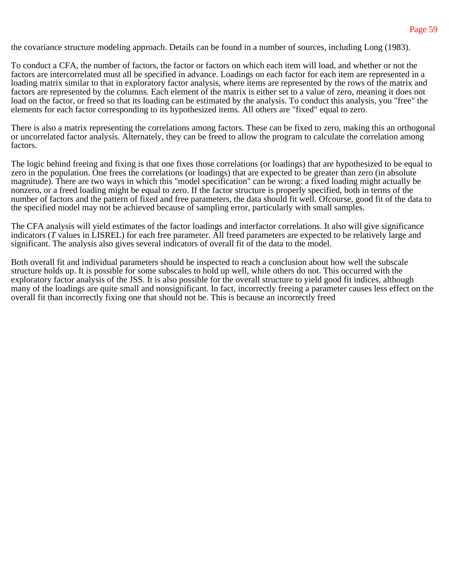the covariance structure modeling approach. Details can be found in a number of sources, including Long (1983).

To conduct a CFA, the number of factors, the factor or factors on which each item will load, and whether or not the factors are intercorrelated must all be specified in advance. Loadings on each factor for each item are represented in a loading matrix similar to that in exploratory factor analysis, where items are represented by the rows of the matrix and factors are represented by the columns. Each element of the matrix is either set to a value of zero, meaning it does not load on the factor, or freed so that its loading can be estimated by the analysis. To conduct this analysis, you "free" the elements for each factor corresponding to its hypothesized items. All others are "fixed" equal to zero.

There is also a matrix representing the correlations among factors. These can be fixed to zero, making this an orthogonal or uncorrelated factor analysis. Alternately, they can be freed to allow the program to calculate the correlation among factors.

The logic behind freeing and fixing is that one fixes those correlations (or loadings) that are hypothesized to be equal to zero in the population. One frees the correlations (or loadings) that are expected to be greater than zero (in absolute magnitude). There are two ways in which this "model specification" can be wrong: a fixed loading might actually be nonzero, or a freed loading might be equal to zero. If the factor structure is properly specified, both in terms of the number of factors and the pattern of fixed and free parameters, the data should fit well. Ofcourse, good fit of the data to the specified model may not be achieved because of sampling error, particularly with small samples.

The CFA analysis will yield estimates of the factor loadings and interfactor correlations. It also will give significance indicators (*T* values in LISREL) for each free parameter. All freed parameters are expected to be relatively large and significant. The analysis also gives several indicators of overall fit of the data to the model.

Both overall fit and individual parameters should be inspected to reach a conclusion about how well the subscale structure holds up. It is possible for some subscales to hold up well, while others do not. This occurred with the exploratory factor analysis of the JSS. It is also possible for the overall structure to yield good fit indices, although many of the loadings are quite small and nonsignificant. In fact, incorrectly freeing a parameter causes less effect on the overall fit than incorrectly fixing one that should not be. This is because an incorrectly freed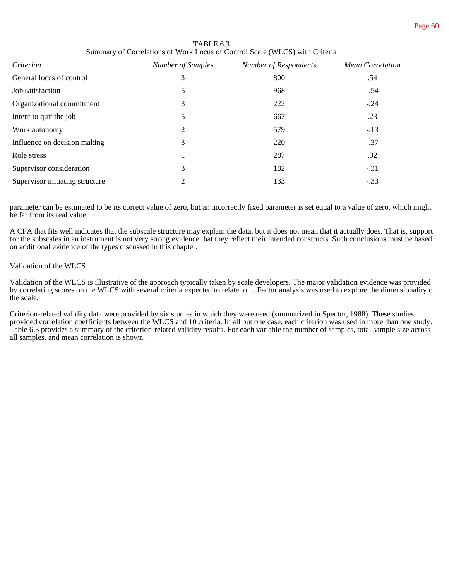| Criterion                       | <b>Number of Samples</b> | Number of Respondents | <b>Mean Correlation</b> |
|---------------------------------|--------------------------|-----------------------|-------------------------|
| General locus of control        | 3                        | 800                   | .54                     |
| Job satisfaction                | 5                        | 968                   | $-.54$                  |
| Organizational commitment       | 3                        | 222                   | $-.24$                  |
| Intent to quit the job          | 5                        | 667                   | .23                     |
| Work autonomy                   | 2                        | 579                   | $-.13$                  |
| Influence on decision making    | 3                        | 220                   | $-.37$                  |
| Role stress                     |                          | 287                   | .32                     |
| Supervisor consideration        | 3                        | 182                   | $-.31$                  |
| Supervisor initiating structure | 2                        | 133                   | $-.33$                  |

TABLE 6.3 Summary of Correlations of Work Locus of Control Scale (WLCS) with Criteria

parameter can be estimated to be its correct value of zero, but an incorrectly fixed parameter is set equal to a value of zero, which might be far from its real value.

A CFA that fits well indicates that the subscale structure may explain the data, but it does not mean that it actually does. That is, support for the subscales in an instrument is not very strong evidence that they reflect their intended constructs. Such conclusions must be based on additional evidence of the types discussed in this chapter.

#### Validation of the WLCS

Validation of the WLCS is illustrative of the approach typically taken by scale developers. The major validation evidence was provided by correlating scores on the WLCS with several criteria expected to relate to it. Factor analysis was used to explore the dimensionality of the scale.

Criterion-related validity data were provided by six studies in which they were used (summarized in Spector, 1988). These studies provided correlation coefficients between the WLCS and 10 criteria. In all but one case, each criterion was used in more than one study. Table 6.3 provides a summary of the criterion-related validity results. For each variable the number of samples, total sample size across all samples, and mean correlation is shown.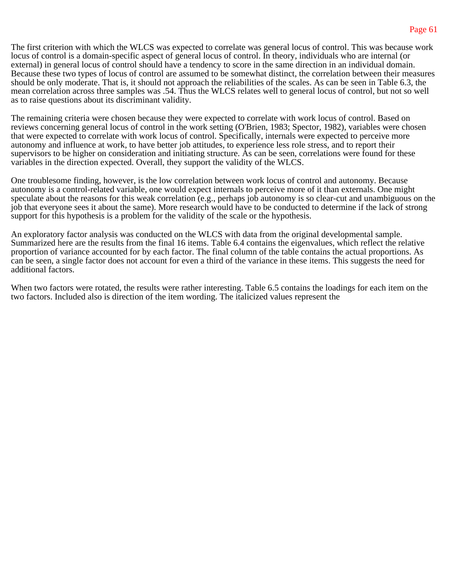The first criterion with which the WLCS was expected to correlate was general locus of control. This was because work locus of control is a domain-specific aspect of general locus of control. In theory, individuals who are internal (or external) in general locus of control should have a tendency to score in the same direction in an individual domain. Because these two types of locus of control are assumed to be somewhat distinct, the correlation between their measures should be only moderate. That is, it should not approach the reliabilities of the scales. As can be seen in Table 6.3, the mean correlation across three samples was .54. Thus the WLCS relates well to general locus of control, but not so well as to raise questions about its discriminant validity.

The remaining criteria were chosen because they were expected to correlate with work locus of control. Based on reviews concerning general locus of control in the work setting (O'Brien, 1983; Spector, 1982), variables were chosen that were expected to correlate with work locus of control. Specifically, internals were expected to perceive more autonomy and influence at work, to have better job attitudes, to experience less role stress, and to report their supervisors to be higher on consideration and initiating structure. As can be seen, correlations were found for these variables in the direction expected. Overall, they support the validity of the WLCS.

One troublesome finding, however, is the low correlation between work locus of control and autonomy. Because autonomy is a control-related variable, one would expect internals to perceive more of it than externals. One might speculate about the reasons for this weak correlation (e.g., perhaps job autonomy is so clear-cut and unambiguous on the job that everyone sees it about the same). More research would have to be conducted to determine if the lack of strong support for this hypothesis is a problem for the validity of the scale or the hypothesis.

An exploratory factor analysis was conducted on the WLCS with data from the original developmental sample. Summarized here are the results from the final 16 items. Table 6.4 contains the eigenvalues, which reflect the relative proportion of variance accounted for by each factor. The final column of the table contains the actual proportions. As can be seen, a single factor does not account for even a third of the variance in these items. This suggests the need for additional factors.

When two factors were rotated, the results were rather interesting. Table 6.5 contains the loadings for each item on the two factors. Included also is direction of the item wording. The italicized values represent the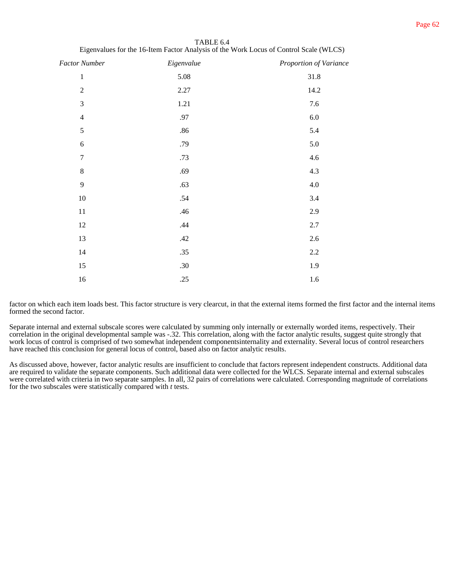| <b>Factor Number</b> | Eigenvalue | Proportion of Variance |
|----------------------|------------|------------------------|
| $\,1\,$              | 5.08       | 31.8                   |
| $\sqrt{2}$           | 2.27       | 14.2                   |
| $\overline{3}$       | 1.21       | $7.6\,$                |
| $\overline{4}$       | .97        | $6.0\,$                |
| 5                    | .86        | 5.4                    |
| $\sqrt{6}$           | .79        | 5.0                    |
| $\boldsymbol{7}$     | .73        | 4.6                    |
| $\,8\,$              | .69        | 4.3                    |
| 9                    | .63        | $4.0\,$                |
| $10\,$               | .54        | $3.4\,$                |
| $11\,$               | .46        | 2.9                    |
| $12\,$               | .44        | $2.7\,$                |
| 13                   | .42        | $2.6\,$                |
| 14                   | .35        | $2.2\,$                |
| 15                   | .30        | 1.9                    |
| 16                   | .25        | $1.6\,$                |

TABLE 6.4 Eigenvalues for the 16-Item Factor Analysis of the Work Locus of Control Scale (WLCS)

factor on which each item loads best. This factor structure is very clearcut, in that the external items formed the first factor and the internal items formed the second factor.

Separate internal and external subscale scores were calculated by summing only internally or externally worded items, respectively. Their correlation in the original developmental sample was -.32. This correlation, along with the factor analytic results, suggest quite strongly that work locus of control is comprised of two somewhat independent componentsinternality and externality. Several locus of control researchers have reached this conclusion for general locus of control, based also on factor analytic results.

As discussed above, however, factor analytic results are insufficient to conclude that factors represent independent constructs. Additional data are required to validate the separate components. Such additional data were collected for the WLCS. Separate internal and external subscales were correlated with criteria in two separate samples. In all, 32 pairs of correlations were calculated. Corresponding magnitude of correlations for the two subscales were statistically compared with *t* tests.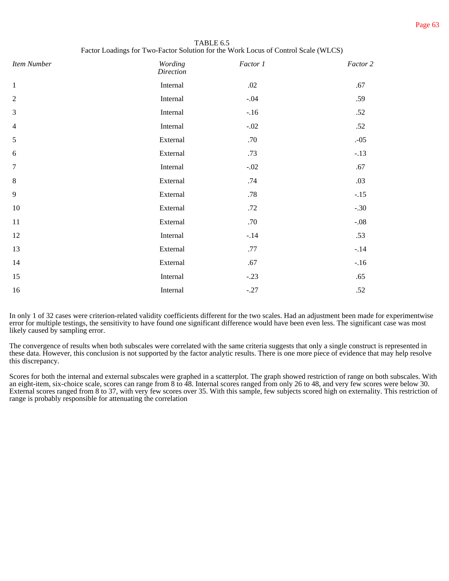| Factor Loadings for Two-Factor Solution for the Work Locus of Control Scale (WLCS) |                      |          |          |
|------------------------------------------------------------------------------------|----------------------|----------|----------|
| <b>Item Number</b>                                                                 | Wording<br>Direction | Factor 1 | Factor 2 |
| $\mathbf{1}$                                                                       | Internal             | .02      | .67      |
| $\overline{2}$                                                                     | Internal             | $-.04$   | .59      |
| 3                                                                                  | Internal             | $-.16$   | .52      |
| $\overline{\mathcal{L}}$                                                           | Internal             | $-.02$   | .52      |
| 5                                                                                  | External             | .70      | $. -05$  |
| 6                                                                                  | External             | .73      | $-.13$   |
| $\tau$                                                                             | Internal             | $-.02$   | .67      |
|                                                                                    |                      |          |          |

8 **External** .03 .03 9 External .78 -.15 10 External .72 -.30 11 External .70 -.08 12 **Internal** 14 .53 13 External .77 -.14 14 External .67 -.16 15 **Internal** 15 .65 16 **Internal** 16 .52

#### TABLE 6.5 Factor Loadings for Two-Factor Solution for the Work Locus of Control Scale (WLCS)

In only 1 of 32 cases were criterion-related validity coefficients different for the two scales. Had an adjustment been made for experimentwise error for multiple testings, the sensitivity to have found one significant difference would have been even less. The significant case was most likely caused by sampling error.

The convergence of results when both subscales were correlated with the same criteria suggests that only a single construct is represented in these data. However, this conclusion is not supported by the factor analytic results. There is one more piece of evidence that may help resolve this discrepancy.

Scores for both the internal and external subscales were graphed in a scatterplot. The graph showed restriction of range on both subscales. With an eight-item, six-choice scale, scores can range from 8 to 48. Internal scores ranged from only 26 to 48, and very few scores were below 30. External scores ranged from 8 to 37, with very few scores over 35. With this sample, few subjects scored high on externality. This restriction of range is probably responsible for attenuating the correlation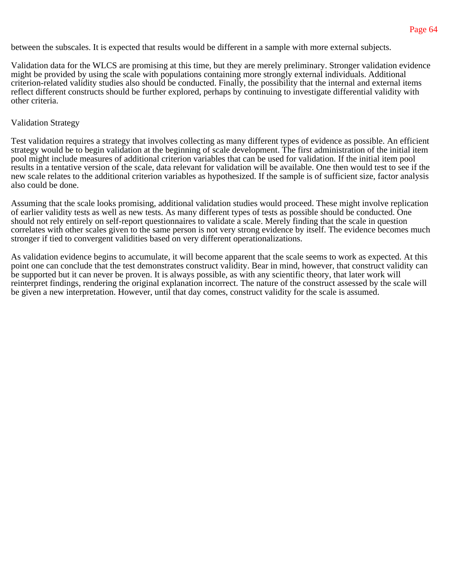between the subscales. It is expected that results would be different in a sample with more external subjects.

Validation data for the WLCS are promising at this time, but they are merely preliminary. Stronger validation evidence might be provided by using the scale with populations containing more strongly external individuals. Additional criterion-related validity studies also should be conducted. Finally, the possibility that the internal and external items reflect different constructs should be further explored, perhaps by continuing to investigate differential validity with other criteria.

#### Validation Strategy

Test validation requires a strategy that involves collecting as many different types of evidence as possible. An efficient strategy would be to begin validation at the beginning of scale development. The first administration of the initial item pool might include measures of additional criterion variables that can be used for validation. If the initial item pool results in a tentative version of the scale, data relevant for validation will be available. One then would test to see if the new scale relates to the additional criterion variables as hypothesized. If the sample is of sufficient size, factor analysis also could be done.

Assuming that the scale looks promising, additional validation studies would proceed. These might involve replication of earlier validity tests as well as new tests. As many different types of tests as possible should be conducted. One should not rely entirely on self-report questionnaires to validate a scale. Merely finding that the scale in question correlates with other scales given to the same person is not very strong evidence by itself. The evidence becomes much stronger if tied to convergent validities based on very different operationalizations.

As validation evidence begins to accumulate, it will become apparent that the scale seems to work as expected. At this point one can conclude that the test demonstrates construct validity. Bear in mind, however, that construct validity can be supported but it can never be proven. It is always possible, as with any scientific theory, that later work will reinterpret findings, rendering the original explanation incorrect. The nature of the construct assessed by the scale will be given a new interpretation. However, until that day comes, construct validity for the scale is assumed.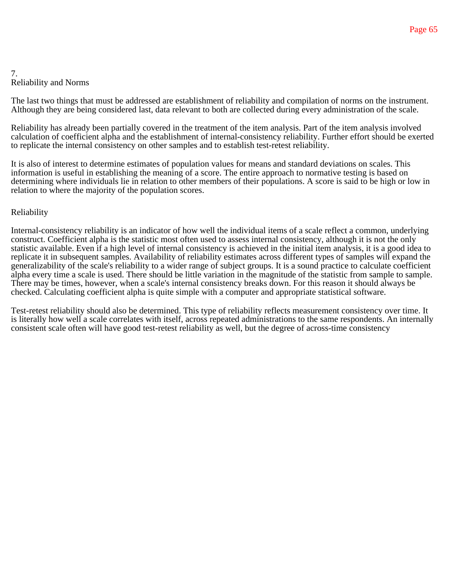#### 7. Reliability and Norms

The last two things that must be addressed are establishment of reliability and compilation of norms on the instrument. Although they are being considered last, data relevant to both are collected during every administration of the scale.

Reliability has already been partially covered in the treatment of the item analysis. Part of the item analysis involved calculation of coefficient alpha and the establishment of internal-consistency reliability. Further effort should be exerted to replicate the internal consistency on other samples and to establish test-retest reliability.

It is also of interest to determine estimates of population values for means and standard deviations on scales. This information is useful in establishing the meaning of a score. The entire approach to normative testing is based on determining where individuals lie in relation to other members of their populations. A score is said to be high or low in relation to where the majority of the population scores.

# Reliability

Internal-consistency reliability is an indicator of how well the individual items of a scale reflect a common, underlying construct. Coefficient alpha is the statistic most often used to assess internal consistency, although it is not the only statistic available. Even if a high level of internal consistency is achieved in the initial item analysis, it is a good idea to replicate it in subsequent samples. Availability of reliability estimates across different types of samples will expand the generalizability of the scale's reliability to a wider range of subject groups. It is a sound practice to calculate coefficient alpha every time a scale is used. There should be little variation in the magnitude of the statistic from sample to sample. There may be times, however, when a scale's internal consistency breaks down. For this reason it should always be checked. Calculating coefficient alpha is quite simple with a computer and appropriate statistical software.

Test-retest reliability should also be determined. This type of reliability reflects measurement consistency over time. It is literally how well a scale correlates with itself, across repeated administrations to the same respondents. An internally consistent scale often will have good test-retest reliability as well, but the degree of across-time consistency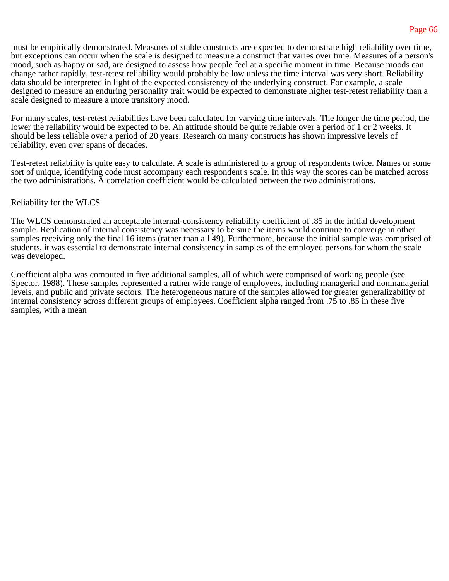must be empirically demonstrated. Measures of stable constructs are expected to demonstrate high reliability over time, but exceptions can occur when the scale is designed to measure a construct that varies over time. Measures of a person's mood, such as happy or sad, are designed to assess how people feel at a specific moment in time. Because moods can change rather rapidly, test-retest reliability would probably be low unless the time interval was very short. Reliability data should be interpreted in light of the expected consistency of the underlying construct. For example, a scale designed to measure an enduring personality trait would be expected to demonstrate higher test-retest reliability than a scale designed to measure a more transitory mood.

For many scales, test-retest reliabilities have been calculated for varying time intervals. The longer the time period, the lower the reliability would be expected to be. An attitude should be quite reliable over a period of 1 or 2 weeks. It should be less reliable over a period of 20 years. Research on many constructs has shown impressive levels of reliability, even over spans of decades.

Test-retest reliability is quite easy to calculate. A scale is administered to a group of respondents twice. Names or some sort of unique, identifying code must accompany each respondent's scale. In this way the scores can be matched across the two administrations. A correlation coefficient would be calculated between the two administrations.

## Reliability for the WLCS

The WLCS demonstrated an acceptable internal-consistency reliability coefficient of .85 in the initial development sample. Replication of internal consistency was necessary to be sure the items would continue to converge in other samples receiving only the final 16 items (rather than all 49). Furthermore, because the initial sample was comprised of students, it was essential to demonstrate internal consistency in samples of the employed persons for whom the scale was developed.

Coefficient alpha was computed in five additional samples, all of which were comprised of working people (see Spector, 1988). These samples represented a rather wide range of employees, including managerial and nonmanagerial levels, and public and private sectors. The heterogeneous nature of the samples allowed for greater generalizability of internal consistency across different groups of employees. Coefficient alpha ranged from .75 to .85 in these five samples, with a mean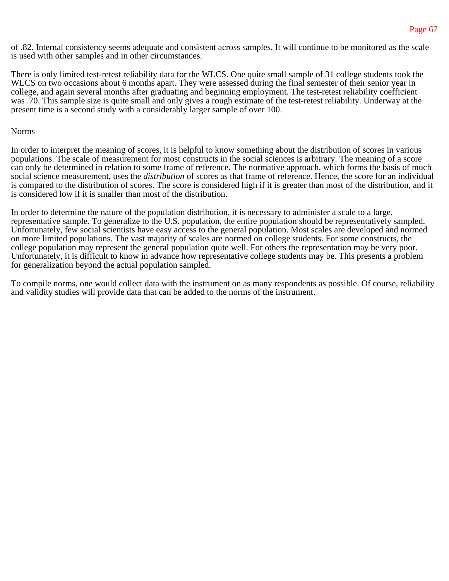#### Page 67

of .82. Internal consistency seems adequate and consistent across samples. It will continue to be monitored as the scale is used with other samples and in other circumstances.

There is only limited test-retest reliability data for the WLCS. One quite small sample of 31 college students took the WLCS on two occasions about 6 months apart. They were assessed during the final semester of their senior year in college, and again several months after graduating and beginning employment. The test-retest reliability coefficient was .70. This sample size is quite small and only gives a rough estimate of the test-retest reliability. Underway at the present time is a second study with a considerably larger sample of over 100.

### Norms

In order to interpret the meaning of scores, it is helpful to know something about the distribution of scores in various populations. The scale of measurement for most constructs in the social sciences is arbitrary. The meaning of a score can only be determined in relation to some frame of reference. The normative approach, which forms the basis of much social science measurement, uses the *distribution* of scores as that frame of reference. Hence, the score for an individual is compared to the distribution of scores. The score is considered high if it is greater than most of the distribution, and it is considered low if it is smaller than most of the distribution.

In order to determine the nature of the population distribution, it is necessary to administer a scale to a large, representative sample. To generalize to the U.S. population, the entire population should be representatively sampled. Unfortunately, few social scientists have easy access to the general population. Most scales are developed and normed on more limited populations. The vast majority of scales are normed on college students. For some constructs, the college population may represent the general population quite well. For others the representation may be very poor. Unfortunately, it is difficult to know in advance how representative college students may be. This presents a problem for generalization beyond the actual population sampled.

To compile norms, one would collect data with the instrument on as many respondents as possible. Of course, reliability and validity studies will provide data that can be added to the norms of the instrument.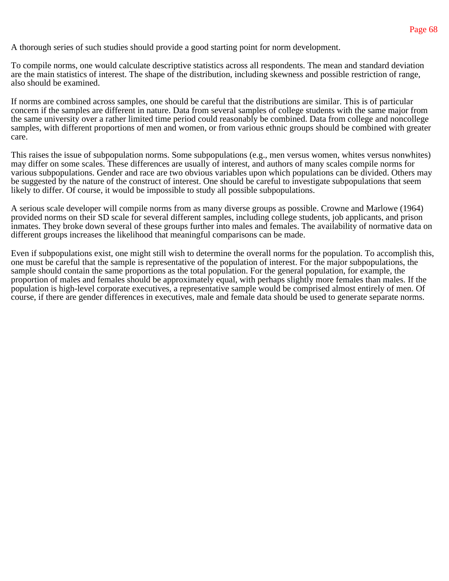A thorough series of such studies should provide a good starting point for norm development.

To compile norms, one would calculate descriptive statistics across all respondents. The mean and standard deviation are the main statistics of interest. The shape of the distribution, including skewness and possible restriction of range, also should be examined.

If norms are combined across samples, one should be careful that the distributions are similar. This is of particular concern if the samples are different in nature. Data from several samples of college students with the same major from the same university over a rather limited time period could reasonably be combined. Data from college and noncollege samples, with different proportions of men and women, or from various ethnic groups should be combined with greater care.

This raises the issue of subpopulation norms. Some subpopulations (e.g., men versus women, whites versus nonwhites) may differ on some scales. These differences are usually of interest, and authors of many scales compile norms for various subpopulations. Gender and race are two obvious variables upon which populations can be divided. Others may be suggested by the nature of the construct of interest. One should be careful to investigate subpopulations that seem likely to differ. Of course, it would be impossible to study all possible subpopulations.

A serious scale developer will compile norms from as many diverse groups as possible. Crowne and Marlowe (1964) provided norms on their SD scale for several different samples, including college students, job applicants, and prison inmates. They broke down several of these groups further into males and females. The availability of normative data on different groups increases the likelihood that meaningful comparisons can be made.

Even if subpopulations exist, one might still wish to determine the overall norms for the population. To accomplish this, one must be careful that the sample is representative of the population of interest. For the major subpopulations, the sample should contain the same proportions as the total population. For the general population, for example, the proportion of males and females should be approximately equal, with perhaps slightly more females than males. If the population is high-level corporate executives, a representative sample would be comprised almost entirely of men. Of course, if there are gender differences in executives, male and female data should be used to generate separate norms.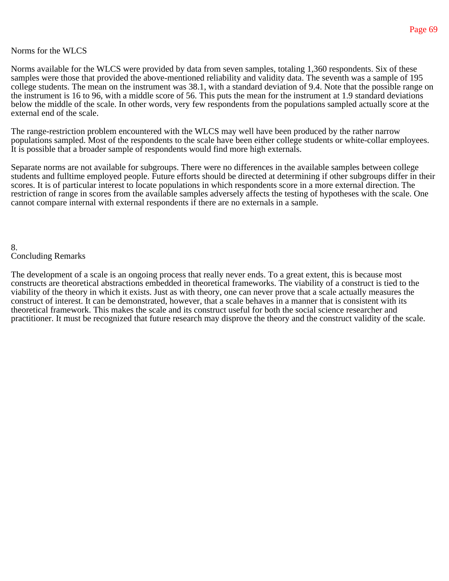## Norms for the WLCS

Norms available for the WLCS were provided by data from seven samples, totaling 1,360 respondents. Six of these samples were those that provided the above-mentioned reliability and validity data. The seventh was a sample of 195 college students. The mean on the instrument was 38.1, with a standard deviation of 9.4. Note that the possible range on the instrument is 16 to 96, with a middle score of 56. This puts the mean for the instrument at 1.9 standard deviations below the middle of the scale. In other words, very few respondents from the populations sampled actually score at the external end of the scale.

The range-restriction problem encountered with the WLCS may well have been produced by the rather narrow populations sampled. Most of the respondents to the scale have been either college students or white-collar employees. It is possible that a broader sample of respondents would find more high externals.

Separate norms are not available for subgroups. There were no differences in the available samples between college students and fulltime employed people. Future efforts should be directed at determining if other subgroups differ in their scores. It is of particular interest to locate populations in which respondents score in a more external direction. The restriction of range in scores from the available samples adversely affects the testing of hypotheses with the scale. One cannot compare internal with external respondents if there are no externals in a sample.

### 8. Concluding Remarks

The development of a scale is an ongoing process that really never ends. To a great extent, this is because most constructs are theoretical abstractions embedded in theoretical frameworks. The viability of a construct is tied to the viability of the theory in which it exists. Just as with theory, one can never prove that a scale actually measures the construct of interest. It can be demonstrated, however, that a scale behaves in a manner that is consistent with its theoretical framework. This makes the scale and its construct useful for both the social science researcher and practitioner. It must be recognized that future research may disprove the theory and the construct validity of the scale.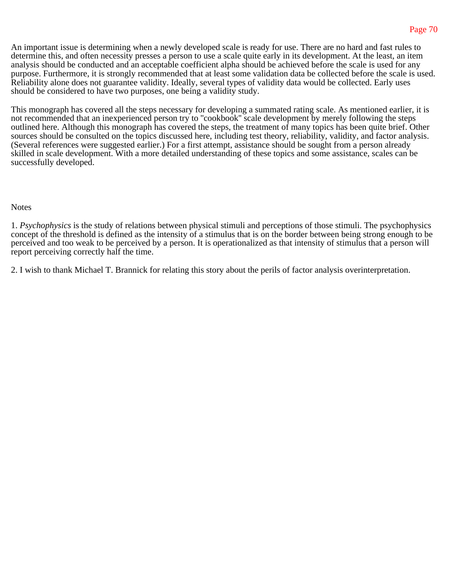An important issue is determining when a newly developed scale is ready for use. There are no hard and fast rules to determine this, and often necessity presses a person to use a scale quite early in its development. At the least, an item analysis should be conducted and an acceptable coefficient alpha should be achieved before the scale is used for any purpose. Furthermore, it is strongly recommended that at least some validation data be collected before the scale is used. Reliability alone does not guarantee validity. Ideally, several types of validity data would be collected. Early uses should be considered to have two purposes, one being a validity study.

This monograph has covered all the steps necessary for developing a summated rating scale. As mentioned earlier, it is not recommended that an inexperienced person try to ''cookbook'' scale development by merely following the steps outlined here. Although this monograph has covered the steps, the treatment of many topics has been quite brief. Other sources should be consulted on the topics discussed here, including test theory, reliability, validity, and factor analysis. (Several references were suggested earlier.) For a first attempt, assistance should be sought from a person already skilled in scale development. With a more detailed understanding of these topics and some assistance, scales can be successfully developed.

## **Notes**

1. *Psychophysics* is the study of relations between physical stimuli and perceptions of those stimuli. The psychophysics concept of the threshold is defined as the intensity of a stimulus that is on the border between being strong enough to be perceived and too weak to be perceived by a person. It is operationalized as that intensity of stimulus that a person will report perceiving correctly half the time.

2. I wish to thank Michael T. Brannick for relating this story about the perils of factor analysis overinterpretation.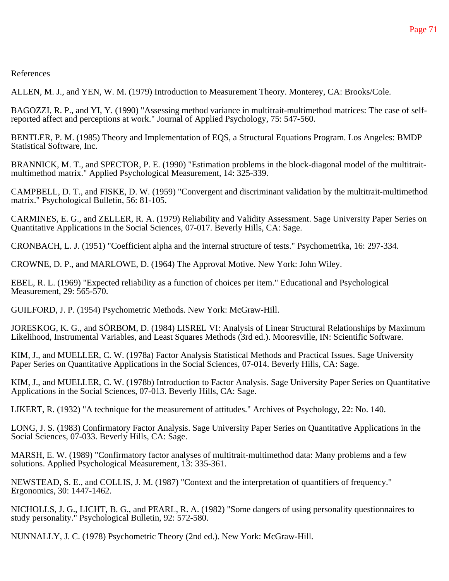## References

ALLEN, M. J., and YEN, W. M. (1979) Introduction to Measurement Theory. Monterey, CA: Brooks/Cole.

BAGOZZI, R. P., and YI, Y. (1990) "Assessing method variance in multitrait-multimethod matrices: The case of selfreported affect and perceptions at work." Journal of Applied Psychology, 75: 547-560.

BENTLER, P. M. (1985) Theory and Implementation of EQS, a Structural Equations Program. Los Angeles: BMDP Statistical Software, Inc.

BRANNICK, M. T., and SPECTOR, P. E. (1990) "Estimation problems in the block-diagonal model of the multitraitmultimethod matrix." Applied Psychological Measurement, 14: 325-339.

CAMPBELL, D. T., and FISKE, D. W. (1959) "Convergent and discriminant validation by the multitrait-multimethod matrix." Psychological Bulletin, 56: 81-105.

CARMINES, E. G., and ZELLER, R. A. (1979) Reliability and Validity Assessment. Sage University Paper Series on Quantitative Applications in the Social Sciences, 07-017. Beverly Hills, CA: Sage.

CRONBACH, L. J. (1951) "Coefficient alpha and the internal structure of tests." Psychometrika, 16: 297-334.

CROWNE, D. P., and MARLOWE, D. (1964) The Approval Motive. New York: John Wiley.

EBEL, R. L. (1969) "Expected reliability as a function of choices per item." Educational and Psychological Measurement, 29: 565-570.

GUILFORD, J. P. (1954) Psychometric Methods. New York: McGraw-Hill.

JORESKOG, K. G., and SÖRBOM, D. (1984) LISREL VI: Analysis of Linear Structural Relationships by Maximum Likelihood, Instrumental Variables, and Least Squares Methods (3rd ed.). Mooresville, IN: Scientific Software.

KIM, J., and MUELLER, C. W. (1978a) Factor Analysis Statistical Methods and Practical Issues. Sage University Paper Series on Quantitative Applications in the Social Sciences, 07-014. Beverly Hills, CA: Sage.

KIM, J., and MUELLER, C. W. (1978b) Introduction to Factor Analysis. Sage University Paper Series on Quantitative Applications in the Social Sciences, 07-013. Beverly Hills, CA: Sage.

LIKERT, R. (1932) "A technique for the measurement of attitudes." Archives of Psychology, 22: No. 140.

LONG, J. S. (1983) Confirmatory Factor Analysis. Sage University Paper Series on Quantitative Applications in the Social Sciences, 07-033. Beverly Hills, CA: Sage.

MARSH, E. W. (1989) "Confirmatory factor analyses of multitrait-multimethod data: Many problems and a few solutions. Applied Psychological Measurement, 13: 335-361.

NEWSTEAD, S. E., and COLLIS, J. M. (1987) "Context and the interpretation of quantifiers of frequency." Ergonomics, 30: 1447-1462.

NICHOLLS, J. G., LICHT, B. G., and PEARL, R. A. (1982) "Some dangers of using personality questionnaires to study personality." Psychological Bulletin, 92: 572-580.

NUNNALLY, J. C. (1978) Psychometric Theory (2nd ed.). New York: McGraw-Hill.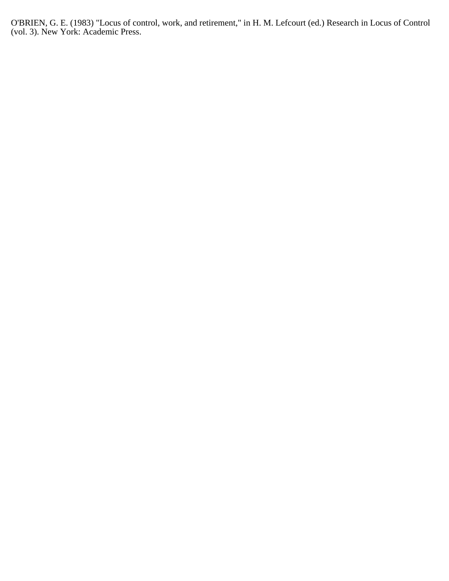O'BRIEN, G. E. (1983) "Locus of control, work, and retirement," in H. M. Lefcourt (ed.) Research in Locus of Control (vol. 3). New York: Academic Press.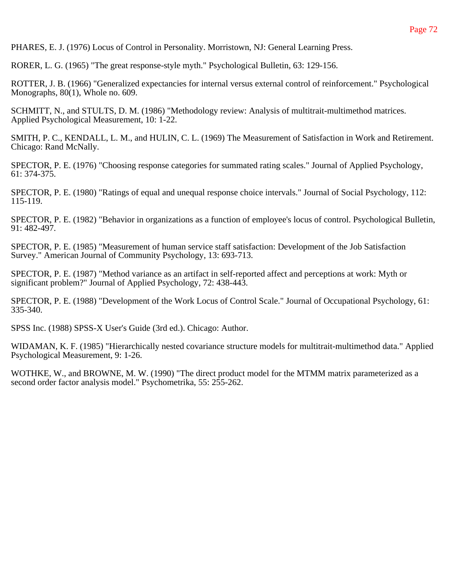PHARES, E. J. (1976) Locus of Control in Personality. Morristown, NJ: General Learning Press.

RORER, L. G. (1965) "The great response-style myth." Psychological Bulletin, 63: 129-156.

ROTTER, J. B. (1966) "Generalized expectancies for internal versus external control of reinforcement." Psychological Monographs,  $80(1)$ , Whole no. 609.

SCHMITT, N., and STULTS, D. M. (1986) "Methodology review: Analysis of multitrait-multimethod matrices. Applied Psychological Measurement, 10: 1-22.

SMITH, P. C., KENDALL, L. M., and HULIN, C. L. (1969) The Measurement of Satisfaction in Work and Retirement. Chicago: Rand McNally.

SPECTOR, P. E. (1976) "Choosing response categories for summated rating scales." Journal of Applied Psychology, 61: 374-375.

SPECTOR, P. E. (1980) "Ratings of equal and unequal response choice intervals." Journal of Social Psychology, 112: 115-119.

SPECTOR, P. E. (1982) "Behavior in organizations as a function of employee's locus of control. Psychological Bulletin, 91: 482-497.

SPECTOR, P. E. (1985) "Measurement of human service staff satisfaction: Development of the Job Satisfaction Survey." American Journal of Community Psychology, 13: 693-713.

SPECTOR, P. E. (1987) "Method variance as an artifact in self-reported affect and perceptions at work: Myth or significant problem?" Journal of Applied Psychology, 72: 438-443.

SPECTOR, P. E. (1988) "Development of the Work Locus of Control Scale." Journal of Occupational Psychology, 61: 335-340.

SPSS Inc. (1988) SPSS-X User's Guide (3rd ed.). Chicago: Author.

WIDAMAN, K. F. (1985) "Hierarchically nested covariance structure models for multitrait-multimethod data." Applied Psychological Measurement, 9: 1-26.

WOTHKE, W., and BROWNE, M. W. (1990) "The direct product model for the MTMM matrix parameterized as a second order factor analysis model." Psychometrika, 55: 255-262.